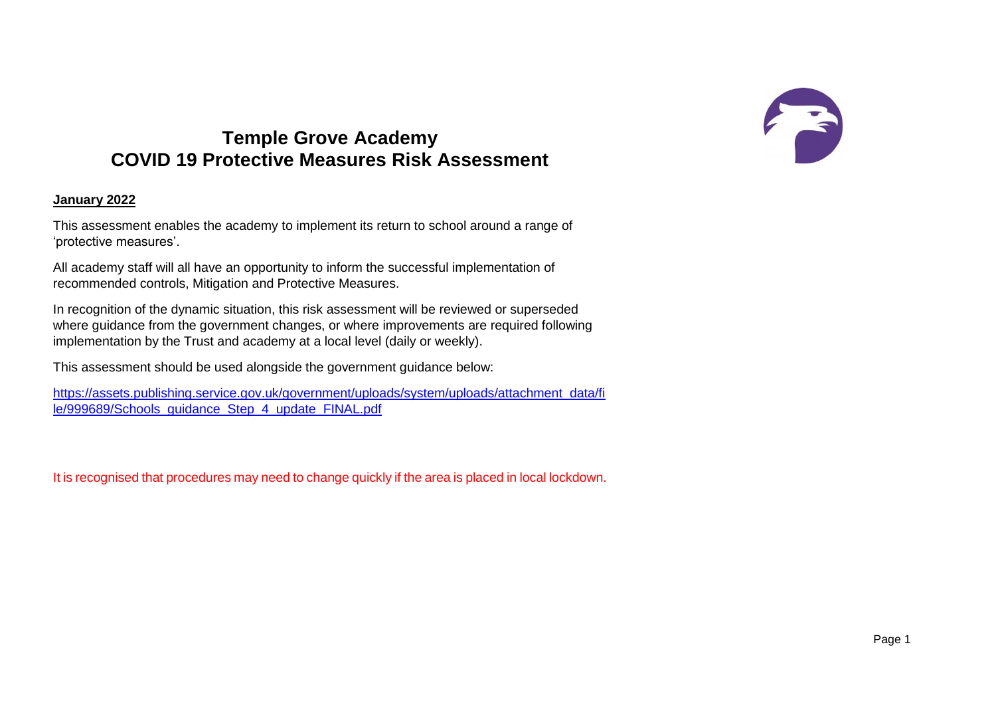## FE

## **Temple Grove Academy COVID 19 Protective Measures Risk Assessment**

## **January 2022**

This assessment enables the academy to implement its return to school around a range of 'protective measures'.

All academy staff will all have an opportunity to inform the successful implementation of recommended controls, Mitigation and Protective Measures.

In recognition of the dynamic situation, this risk assessment will be reviewed or superseded where guidance from the government changes, or where improvements are required following implementation by the Trust and academy at a local level (daily or weekly).

This assessment should be used alongside the government guidance below:

[https://assets.publishing.service.gov.uk/government/uploads/system/uploads/attachment\\_data/fi](https://assets.publishing.service.gov.uk/government/uploads/system/uploads/attachment_data/file/999689/Schools_guidance_Step_4_update_FINAL.pdf) [le/999689/Schools\\_guidance\\_Step\\_4\\_update\\_FINAL.pdf](https://assets.publishing.service.gov.uk/government/uploads/system/uploads/attachment_data/file/999689/Schools_guidance_Step_4_update_FINAL.pdf)

It is recognised that procedures may need to change quickly if the area is placed in local lockdown.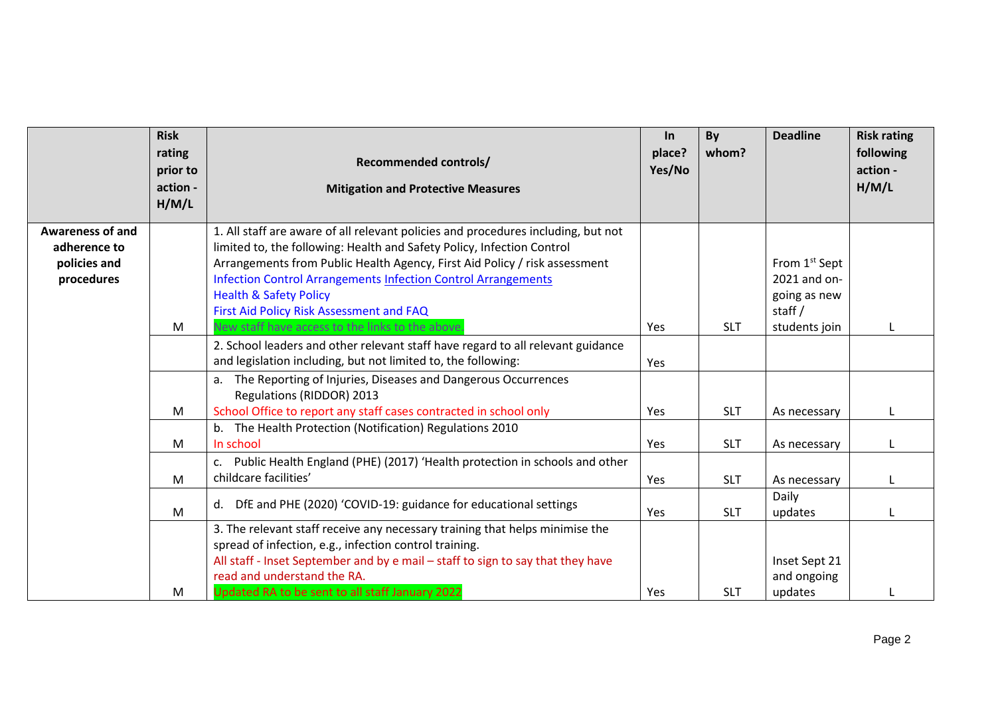|                                                                       | <b>Risk</b><br>rating<br>prior to<br>action -<br>H/M/L | <b>Recommended controls/</b><br><b>Mitigation and Protective Measures</b>                                                                                                                                                                                                                                                                                                                          | In<br>place?<br>Yes/No | By<br>whom?                            | <b>Deadline</b>                                                     | <b>Risk rating</b><br>following<br>action -<br>H/M/L |
|-----------------------------------------------------------------------|--------------------------------------------------------|----------------------------------------------------------------------------------------------------------------------------------------------------------------------------------------------------------------------------------------------------------------------------------------------------------------------------------------------------------------------------------------------------|------------------------|----------------------------------------|---------------------------------------------------------------------|------------------------------------------------------|
| <b>Awareness of and</b><br>adherence to<br>policies and<br>procedures |                                                        | 1. All staff are aware of all relevant policies and procedures including, but not<br>limited to, the following: Health and Safety Policy, Infection Control<br>Arrangements from Public Health Agency, First Aid Policy / risk assessment<br><b>Infection Control Arrangements Infection Control Arrangements</b><br><b>Health &amp; Safety Policy</b><br>First Aid Policy Risk Assessment and FAQ |                        |                                        | From 1 <sup>st</sup> Sept<br>2021 and on-<br>going as new<br>staff/ |                                                      |
|                                                                       | M                                                      | New staff have access to the links to the above<br>2. School leaders and other relevant staff have regard to all relevant guidance<br>and legislation including, but not limited to, the following:<br>a. The Reporting of Injuries, Diseases and Dangerous Occurrences<br>Regulations (RIDDOR) 2013                                                                                               | Yes<br>Yes             | <b>SLT</b>                             | students join                                                       |                                                      |
|                                                                       | M<br>M<br>M                                            | School Office to report any staff cases contracted in school only<br>b. The Health Protection (Notification) Regulations 2010<br>In school<br>Public Health England (PHE) (2017) 'Health protection in schools and other<br>c.<br>childcare facilities'                                                                                                                                            | Yes<br>Yes<br>Yes      | <b>SLT</b><br><b>SLT</b><br><b>SLT</b> | As necessary<br>As necessary<br>As necessary                        |                                                      |
|                                                                       | M<br>M                                                 | DfE and PHE (2020) 'COVID-19: guidance for educational settings<br>d.<br>3. The relevant staff receive any necessary training that helps minimise the<br>spread of infection, e.g., infection control training.<br>All staff - Inset September and by e mail - staff to sign to say that they have<br>read and understand the RA.<br>Updated RA to be sent to all staff January 2022               | Yes<br>Yes             | <b>SLT</b><br><b>SLT</b>               | Daily<br>updates<br>Inset Sept 21<br>and ongoing<br>updates         |                                                      |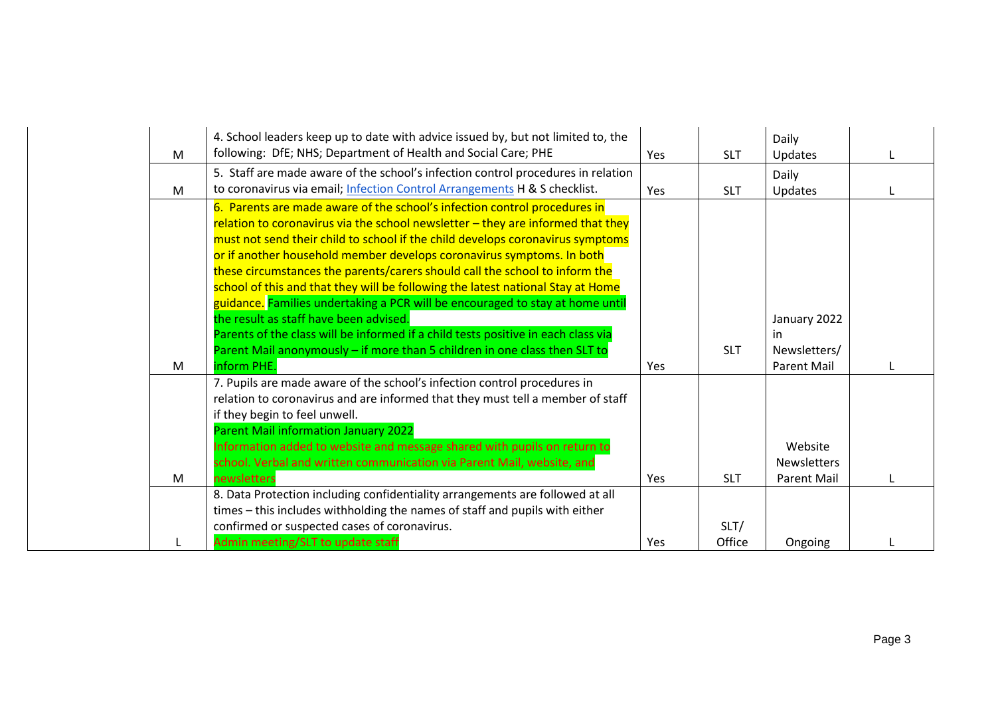|   | 4. School leaders keep up to date with advice issued by, but not limited to, the                                        |     |            | Daily              |  |
|---|-------------------------------------------------------------------------------------------------------------------------|-----|------------|--------------------|--|
| M | following: DfE; NHS; Department of Health and Social Care; PHE                                                          | Yes | <b>SLT</b> | Updates            |  |
|   | 5. Staff are made aware of the school's infection control procedures in relation                                        |     |            | Daily              |  |
| M | to coronavirus via email; Infection Control Arrangements H & S checklist.                                               | Yes | <b>SLT</b> | Updates            |  |
|   | 6. Parents are made aware of the school's infection control procedures in                                               |     |            |                    |  |
|   | relation to coronavirus via the school newsletter $-$ they are informed that they                                       |     |            |                    |  |
|   | must not send their child to school if the child develops coronavirus symptoms                                          |     |            |                    |  |
|   | or if another household member develops coronavirus symptoms. In both                                                   |     |            |                    |  |
|   | these circumstances the parents/carers should call the school to inform the                                             |     |            |                    |  |
|   | school of this and that they will be following the latest national Stay at Home                                         |     |            |                    |  |
|   | guidance. Families undertaking a PCR will be encouraged to stay at home until<br>the result as staff have been advised. |     |            |                    |  |
|   | Parents of the class will be informed if a child tests positive in each class via                                       |     |            | January 2022<br>in |  |
|   | Parent Mail anonymously - if more than 5 children in one class then SLT to                                              |     | <b>SLT</b> | Newsletters/       |  |
| M | inform PHE.                                                                                                             | Yes |            | <b>Parent Mail</b> |  |
|   | 7. Pupils are made aware of the school's infection control procedures in                                                |     |            |                    |  |
|   | relation to coronavirus and are informed that they must tell a member of staff                                          |     |            |                    |  |
|   | if they begin to feel unwell.                                                                                           |     |            |                    |  |
|   | Parent Mail information January 2022                                                                                    |     |            |                    |  |
|   | Information added to website and message shared with pupils on return to                                                |     |            | Website            |  |
|   | school. Verbal and written communication via Parent Mail, website, and                                                  |     |            | <b>Newsletters</b> |  |
| M | newsletters                                                                                                             | Yes | <b>SLT</b> | <b>Parent Mail</b> |  |
|   | 8. Data Protection including confidentiality arrangements are followed at all                                           |     |            |                    |  |
|   | times - this includes withholding the names of staff and pupils with either                                             |     |            |                    |  |
|   | confirmed or suspected cases of coronavirus.                                                                            |     | SLT/       |                    |  |
|   | Admin meeting/SLT to update staff                                                                                       | Yes | Office     | Ongoing            |  |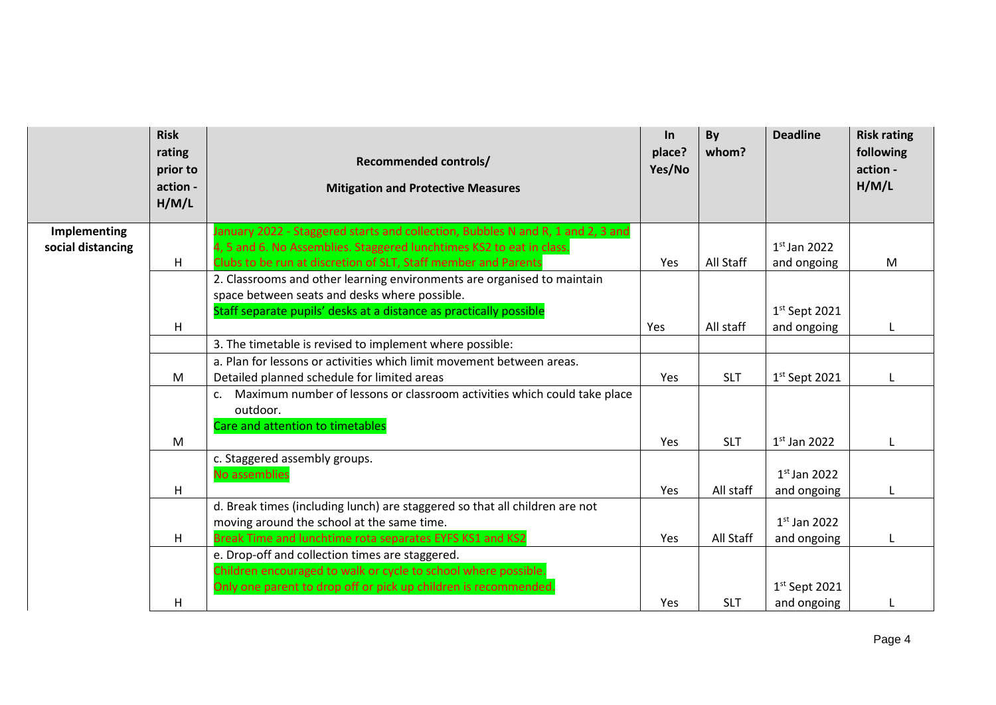|                   | <b>Risk</b><br>rating<br>prior to<br>action -<br>H/M/L | <b>Recommended controls/</b><br><b>Mitigation and Protective Measures</b>                                                                                                             | $\ln$<br>place?<br>Yes/No | By<br>whom? | <b>Deadline</b>               | <b>Risk rating</b><br>following<br>action -<br>H/M/L |
|-------------------|--------------------------------------------------------|---------------------------------------------------------------------------------------------------------------------------------------------------------------------------------------|---------------------------|-------------|-------------------------------|------------------------------------------------------|
| Implementing      |                                                        | January 2022 - Staggered starts and collection, Bubbles N and R, 1 and 2, 3 and                                                                                                       |                           |             |                               |                                                      |
| social distancing |                                                        | 4, 5 and 6. No Assemblies. Staggered lunchtimes KS2 to eat in class.                                                                                                                  |                           |             | $1st$ Jan 2022                |                                                      |
|                   | Н.                                                     | Clubs to be run at discretion of SLT, Staff member and Parents                                                                                                                        | Yes                       | All Staff   | and ongoing                   | M                                                    |
|                   |                                                        | 2. Classrooms and other learning environments are organised to maintain<br>space between seats and desks where possible.                                                              |                           |             |                               |                                                      |
|                   |                                                        | Staff separate pupils' desks at a distance as practically possible                                                                                                                    |                           |             | $1st$ Sept 2021               |                                                      |
|                   | H                                                      |                                                                                                                                                                                       | Yes                       | All staff   | and ongoing                   |                                                      |
|                   |                                                        | 3. The timetable is revised to implement where possible:                                                                                                                              |                           |             |                               |                                                      |
|                   |                                                        | a. Plan for lessons or activities which limit movement between areas.                                                                                                                 |                           |             |                               |                                                      |
|                   | M                                                      | Detailed planned schedule for limited areas                                                                                                                                           | Yes                       | <b>SLT</b>  | $1st$ Sept 2021               | $\mathbf{I}$                                         |
|                   |                                                        | Maximum number of lessons or classroom activities which could take place<br>$\mathsf{C}$ .<br>outdoor.<br>Care and attention to timetables                                            |                           |             |                               |                                                      |
|                   | M                                                      |                                                                                                                                                                                       | Yes                       | <b>SLT</b>  | $1st$ Jan 2022                |                                                      |
|                   | н                                                      | c. Staggered assembly groups.<br>No assemblies                                                                                                                                        | Yes                       | All staff   | $1st$ Jan 2022<br>and ongoing |                                                      |
|                   | н                                                      | d. Break times (including lunch) are staggered so that all children are not<br>moving around the school at the same time.<br>Break Time and lunchtime rota separates EYFS KS1 and KS2 | Yes                       | All Staff   | $1st$ Jan 2022<br>and ongoing |                                                      |
|                   |                                                        | e. Drop-off and collection times are staggered.<br>Children encouraged to walk or cycle to school where possible.<br>Only one parent to drop off or pick up children is recommended.  |                           |             | $1st$ Sept 2021               |                                                      |
|                   | н                                                      |                                                                                                                                                                                       | Yes                       | <b>SLT</b>  | and ongoing                   |                                                      |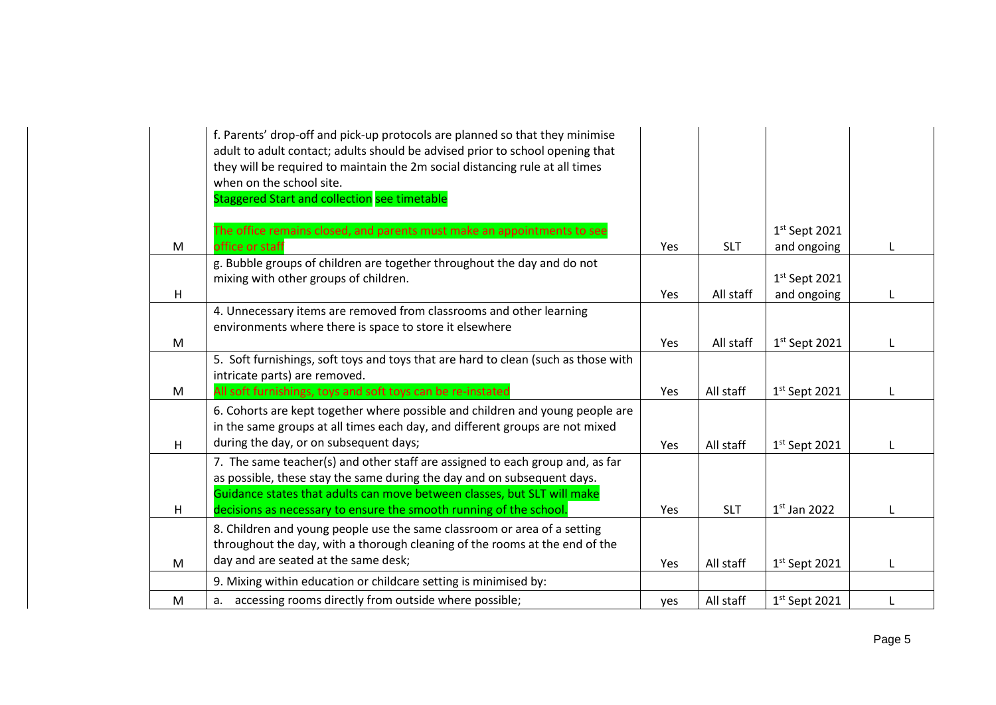|   | f. Parents' drop-off and pick-up protocols are planned so that they minimise<br>adult to adult contact; adults should be advised prior to school opening that<br>they will be required to maintain the 2m social distancing rule at all times<br>when on the school site.<br>Staggered Start and collection see timetable |            |            |                 |  |
|---|---------------------------------------------------------------------------------------------------------------------------------------------------------------------------------------------------------------------------------------------------------------------------------------------------------------------------|------------|------------|-----------------|--|
|   | The office remains closed, and parents must make an appointments to see                                                                                                                                                                                                                                                   |            |            | $1st$ Sept 2021 |  |
| M | office or staff                                                                                                                                                                                                                                                                                                           | Yes        | <b>SLT</b> | and ongoing     |  |
|   | g. Bubble groups of children are together throughout the day and do not<br>mixing with other groups of children.                                                                                                                                                                                                          |            |            | $1st$ Sept 2021 |  |
| H |                                                                                                                                                                                                                                                                                                                           | Yes        | All staff  | and ongoing     |  |
|   | 4. Unnecessary items are removed from classrooms and other learning<br>environments where there is space to store it elsewhere                                                                                                                                                                                            |            |            |                 |  |
| M |                                                                                                                                                                                                                                                                                                                           | Yes        | All staff  | $1st$ Sept 2021 |  |
|   | 5. Soft furnishings, soft toys and toys that are hard to clean (such as those with<br>intricate parts) are removed.                                                                                                                                                                                                       |            |            |                 |  |
| M | All soft furnishings, toys and soft toys can be re-instated                                                                                                                                                                                                                                                               | Yes        | All staff  | $1st$ Sept 2021 |  |
| H | 6. Cohorts are kept together where possible and children and young people are<br>in the same groups at all times each day, and different groups are not mixed<br>during the day, or on subsequent days;                                                                                                                   | Yes        | All staff  | $1st$ Sept 2021 |  |
|   | 7. The same teacher(s) and other staff are assigned to each group and, as far<br>as possible, these stay the same during the day and on subsequent days.<br>Guidance states that adults can move between classes, but SLT will make                                                                                       |            |            |                 |  |
| H | decisions as necessary to ensure the smooth running of the school.                                                                                                                                                                                                                                                        | <b>Yes</b> | <b>SLT</b> | $1st$ Jan 2022  |  |
|   | 8. Children and young people use the same classroom or area of a setting<br>throughout the day, with a thorough cleaning of the rooms at the end of the                                                                                                                                                                   |            |            |                 |  |
| M | day and are seated at the same desk;                                                                                                                                                                                                                                                                                      | Yes        | All staff  | $1st$ Sept 2021 |  |
|   | 9. Mixing within education or childcare setting is minimised by:                                                                                                                                                                                                                                                          |            |            |                 |  |
| M | a. accessing rooms directly from outside where possible;                                                                                                                                                                                                                                                                  | yes        | All staff  | $1st$ Sept 2021 |  |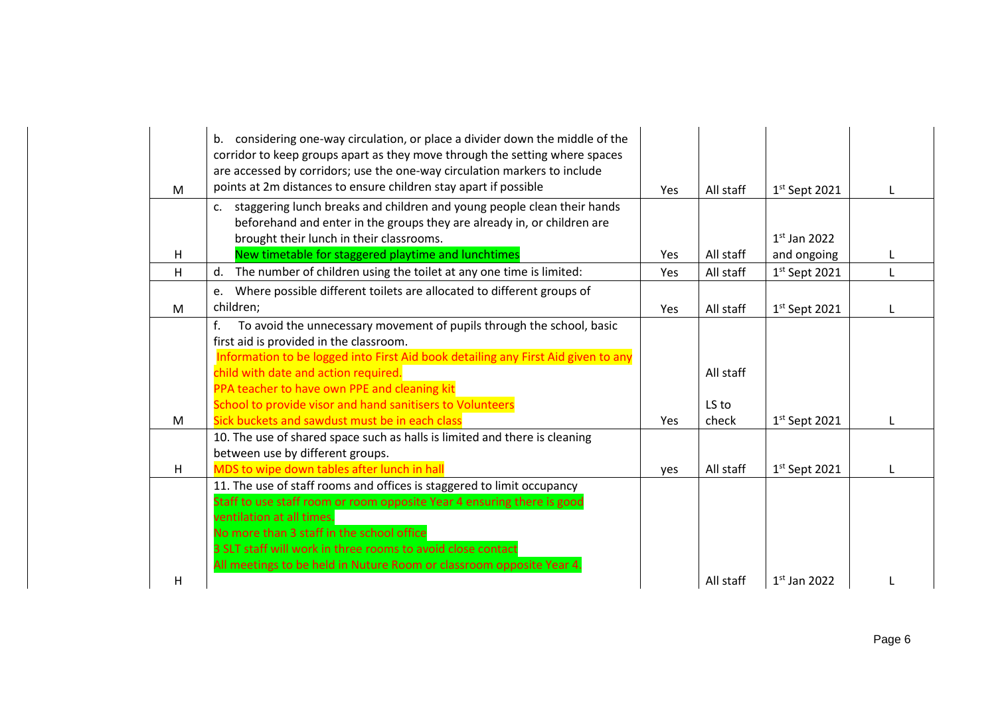| M | considering one-way circulation, or place a divider down the middle of the<br>b.<br>corridor to keep groups apart as they move through the setting where spaces<br>are accessed by corridors; use the one-way circulation markers to include<br>points at 2m distances to ensure children stay apart if possible | Yes        | All staff | $1st$ Sept 2021 |  |
|---|------------------------------------------------------------------------------------------------------------------------------------------------------------------------------------------------------------------------------------------------------------------------------------------------------------------|------------|-----------|-----------------|--|
|   | staggering lunch breaks and children and young people clean their hands<br>C <sub>1</sub><br>beforehand and enter in the groups they are already in, or children are                                                                                                                                             |            |           |                 |  |
|   | brought their lunch in their classrooms.                                                                                                                                                                                                                                                                         |            |           | $1st$ Jan 2022  |  |
| H | New timetable for staggered playtime and lunchtimes                                                                                                                                                                                                                                                              | Yes        | All staff | and ongoing     |  |
| H | The number of children using the toilet at any one time is limited:<br>d.                                                                                                                                                                                                                                        | Yes        | All staff | $1st$ Sept 2021 |  |
|   | Where possible different toilets are allocated to different groups of<br>e.                                                                                                                                                                                                                                      |            |           |                 |  |
| M | children;                                                                                                                                                                                                                                                                                                        | Yes        | All staff | $1st$ Sept 2021 |  |
|   | f.<br>To avoid the unnecessary movement of pupils through the school, basic                                                                                                                                                                                                                                      |            |           |                 |  |
|   | first aid is provided in the classroom.                                                                                                                                                                                                                                                                          |            |           |                 |  |
|   | Information to be logged into First Aid book detailing any First Aid given to any                                                                                                                                                                                                                                |            |           |                 |  |
|   | child with date and action required.                                                                                                                                                                                                                                                                             |            | All staff |                 |  |
|   | PPA teacher to have own PPE and cleaning kit                                                                                                                                                                                                                                                                     |            |           |                 |  |
|   | School to provide visor and hand sanitisers to Volunteers                                                                                                                                                                                                                                                        |            | LS to     |                 |  |
| M | Sick buckets and sawdust must be in each class                                                                                                                                                                                                                                                                   | <b>Yes</b> | check     | $1st$ Sept 2021 |  |
|   | 10. The use of shared space such as halls is limited and there is cleaning                                                                                                                                                                                                                                       |            |           |                 |  |
|   | between use by different groups.                                                                                                                                                                                                                                                                                 |            |           |                 |  |
| н | MDS to wipe down tables after lunch in hall                                                                                                                                                                                                                                                                      | yes        | All staff | $1st$ Sept 2021 |  |
|   | 11. The use of staff rooms and offices is staggered to limit occupancy                                                                                                                                                                                                                                           |            |           |                 |  |
|   | Staff to use staff room or room opposite Year 4 ensuring there is good                                                                                                                                                                                                                                           |            |           |                 |  |
|   | ventilation at all times.                                                                                                                                                                                                                                                                                        |            |           |                 |  |
|   | No more than 3 staff in the school office                                                                                                                                                                                                                                                                        |            |           |                 |  |
|   | 3 SLT staff will work in three rooms to avoid close contact                                                                                                                                                                                                                                                      |            |           |                 |  |
|   | All meetings to be held in Nuture Room or classroom opposite Year 4.                                                                                                                                                                                                                                             |            |           |                 |  |
| H |                                                                                                                                                                                                                                                                                                                  |            | All staff | $1st$ Jan 2022  |  |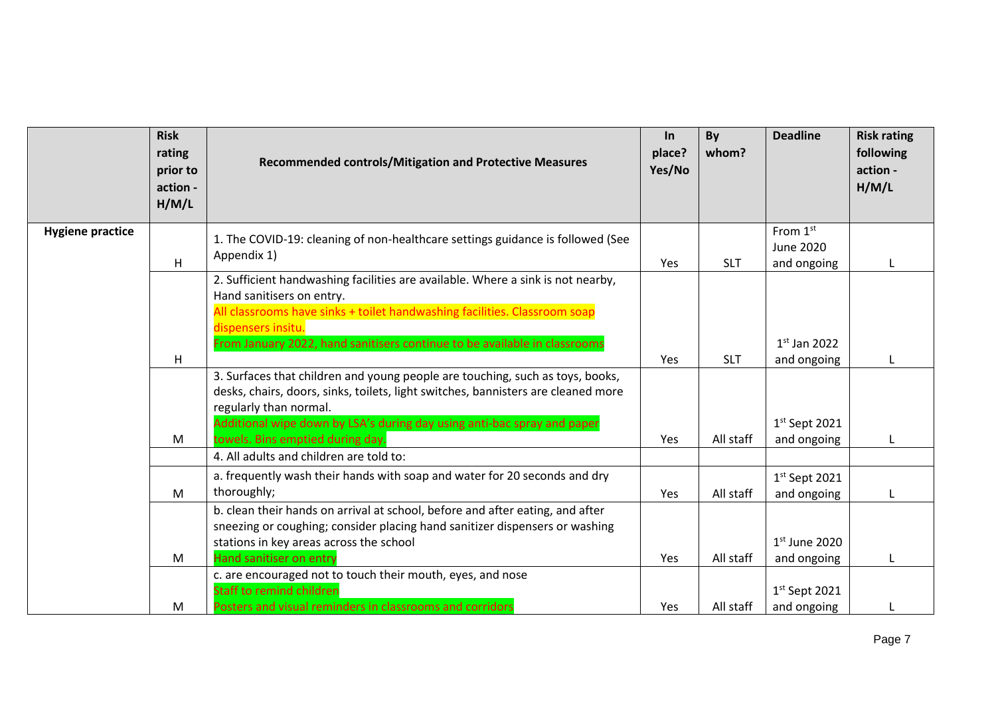|                         | <b>Risk</b><br>rating<br>prior to<br>action -<br>H/M/L | <b>Recommended controls/Mitigation and Protective Measures</b>                                                                                                                                                                                                                               | $\ln$<br>place?<br>Yes/No | By<br>whom? | <b>Deadline</b>                             | <b>Risk rating</b><br>following<br>action -<br>H/M/L |
|-------------------------|--------------------------------------------------------|----------------------------------------------------------------------------------------------------------------------------------------------------------------------------------------------------------------------------------------------------------------------------------------------|---------------------------|-------------|---------------------------------------------|------------------------------------------------------|
| <b>Hygiene practice</b> | H                                                      | 1. The COVID-19: cleaning of non-healthcare settings guidance is followed (See<br>Appendix 1)                                                                                                                                                                                                | Yes                       | <b>SLT</b>  | From 1st<br><b>June 2020</b><br>and ongoing |                                                      |
|                         |                                                        | 2. Sufficient handwashing facilities are available. Where a sink is not nearby,<br>Hand sanitisers on entry.<br>All classrooms have sinks + toilet handwashing facilities. Classroom soap<br>dispensers insitu.<br>From January 2022, hand sanitisers continue to be available in classrooms |                           |             | $1st$ Jan 2022                              |                                                      |
|                         | H                                                      | 3. Surfaces that children and young people are touching, such as toys, books,<br>desks, chairs, doors, sinks, toilets, light switches, bannisters are cleaned more<br>regularly than normal.<br>Additional wipe down by LSA's during day using anti-bac spray and paper                      | Yes                       | <b>SLT</b>  | and ongoing<br>$1st$ Sept 2021              |                                                      |
|                         | M                                                      | towels. Bins emptied during day.<br>4. All adults and children are told to:                                                                                                                                                                                                                  | Yes                       | All staff   | and ongoing                                 |                                                      |
|                         | M                                                      | a. frequently wash their hands with soap and water for 20 seconds and dry<br>thoroughly;                                                                                                                                                                                                     | Yes                       | All staff   | $1st$ Sept 2021<br>and ongoing              |                                                      |
|                         | M                                                      | b. clean their hands on arrival at school, before and after eating, and after<br>sneezing or coughing; consider placing hand sanitizer dispensers or washing<br>stations in key areas across the school<br>Hand sanitiser on entry                                                           | Yes                       | All staff   | $1st$ June 2020<br>and ongoing              |                                                      |
|                         | M                                                      | c. are encouraged not to touch their mouth, eyes, and nose<br><b>Staff to remind children</b><br>Posters and visual reminders in classrooms and corridors                                                                                                                                    | Yes                       | All staff   | $1st$ Sept 2021<br>and ongoing              |                                                      |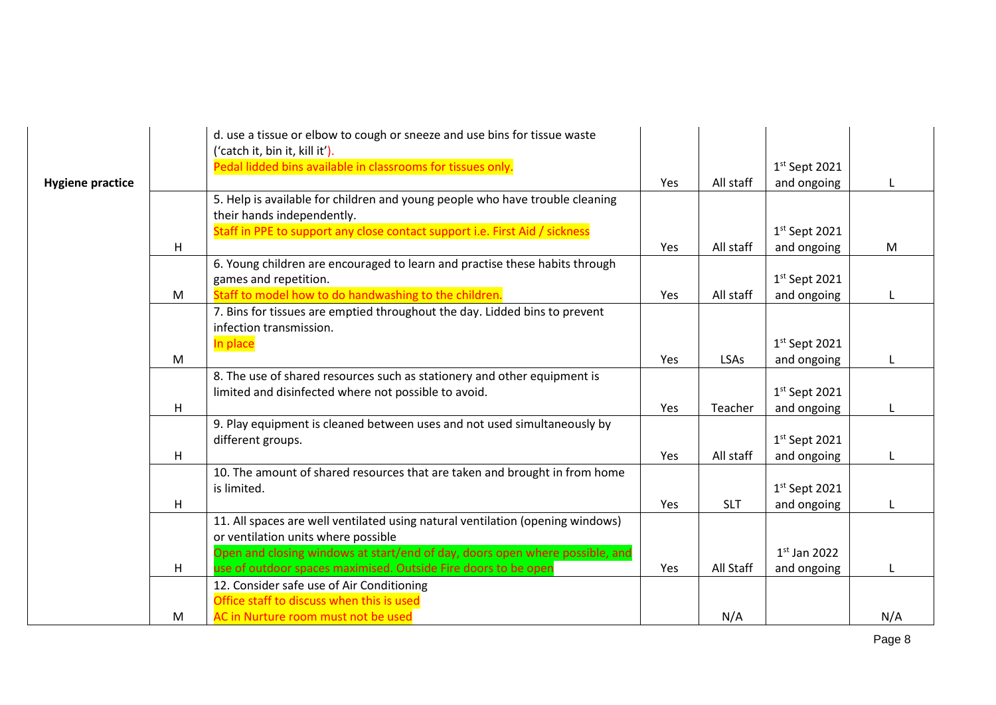|                         |   | d. use a tissue or elbow to cough or sneeze and use bins for tissue waste<br>('catch it, bin it, kill it'). |     |            |                 |     |
|-------------------------|---|-------------------------------------------------------------------------------------------------------------|-----|------------|-----------------|-----|
|                         |   | Pedal lidded bins available in classrooms for tissues only.                                                 |     |            | $1st$ Sept 2021 |     |
| <b>Hygiene practice</b> |   |                                                                                                             | Yes | All staff  | and ongoing     |     |
|                         |   | 5. Help is available for children and young people who have trouble cleaning                                |     |            |                 |     |
|                         |   | their hands independently.                                                                                  |     |            |                 |     |
|                         |   | Staff in PPE to support any close contact support i.e. First Aid / sickness                                 |     |            | $1st$ Sept 2021 |     |
|                         | H |                                                                                                             | Yes | All staff  | and ongoing     | M   |
|                         |   | 6. Young children are encouraged to learn and practise these habits through                                 |     |            |                 |     |
|                         |   | games and repetition.                                                                                       |     |            | $1st$ Sept 2021 |     |
|                         | M | Staff to model how to do handwashing to the children.                                                       | Yes | All staff  | and ongoing     |     |
|                         |   | 7. Bins for tissues are emptied throughout the day. Lidded bins to prevent                                  |     |            |                 |     |
|                         |   | infection transmission.                                                                                     |     |            |                 |     |
|                         |   | In place                                                                                                    |     |            | $1st$ Sept 2021 |     |
|                         | M |                                                                                                             | Yes | LSAs       | and ongoing     |     |
|                         |   | 8. The use of shared resources such as stationery and other equipment is                                    |     |            |                 |     |
|                         |   | limited and disinfected where not possible to avoid.                                                        |     |            | $1st$ Sept 2021 |     |
|                         | H |                                                                                                             | Yes | Teacher    | and ongoing     | L   |
|                         |   | 9. Play equipment is cleaned between uses and not used simultaneously by                                    |     |            |                 |     |
|                         |   | different groups.                                                                                           |     |            | $1st$ Sept 2021 |     |
|                         | H |                                                                                                             | Yes | All staff  | and ongoing     |     |
|                         |   | 10. The amount of shared resources that are taken and brought in from home                                  |     |            |                 |     |
|                         |   | is limited.                                                                                                 |     |            | $1st$ Sept 2021 |     |
|                         | H |                                                                                                             | Yes | <b>SLT</b> | and ongoing     |     |
|                         |   | 11. All spaces are well ventilated using natural ventilation (opening windows)                              |     |            |                 |     |
|                         |   | or ventilation units where possible                                                                         |     |            |                 |     |
|                         |   | Open and closing windows at start/end of day, doors open where possible, and                                |     |            | $1st$ Jan 2022  |     |
|                         | H | use of outdoor spaces maximised. Outside Fire doors to be open                                              | Yes | All Staff  | and ongoing     |     |
|                         |   | 12. Consider safe use of Air Conditioning                                                                   |     |            |                 |     |
|                         |   | Office staff to discuss when this is used                                                                   |     |            |                 |     |
|                         | M | AC in Nurture room must not be used                                                                         |     | N/A        |                 | N/A |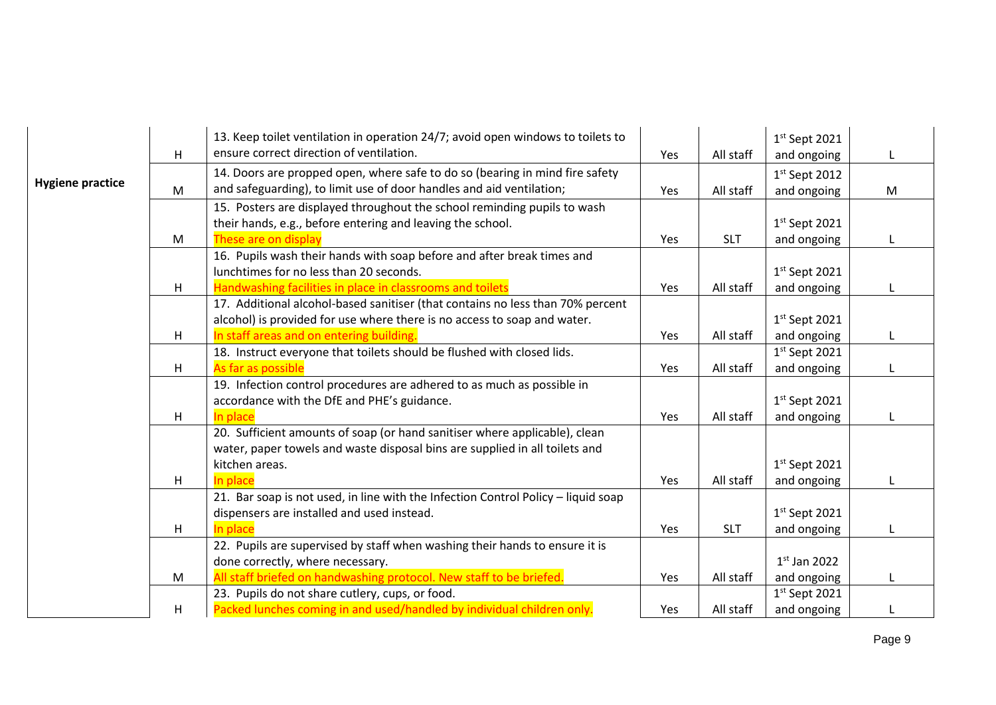| $1st$ Sept 2021<br>ensure correct direction of ventilation.<br>H<br>All staff<br>and ongoing<br>Yes<br>L<br>14. Doors are propped open, where safe to do so (bearing in mind fire safety<br>$1st$ Sept 2012<br><b>Hygiene practice</b><br>and safeguarding), to limit use of door handles and aid ventilation;<br>M<br>All staff<br>M<br>and ongoing<br>Yes<br>15. Posters are displayed throughout the school reminding pupils to wash<br>their hands, e.g., before entering and leaving the school.<br>$1st$ Sept 2021<br>These are on display<br>Yes<br><b>SLT</b><br>and ongoing<br>M<br>16. Pupils wash their hands with soap before and after break times and<br>$1st$ Sept 2021<br>lunchtimes for no less than 20 seconds.<br>Handwashing facilities in place in classrooms and toilets<br>All staff<br>and ongoing<br>H<br>Yes<br>17. Additional alcohol-based sanitiser (that contains no less than 70% percent<br>alcohol) is provided for use where there is no access to soap and water.<br>$1st$ Sept 2021<br>In staff areas and on entering building.<br>H<br>All staff<br>and ongoing<br>Yes<br>18. Instruct everyone that toilets should be flushed with closed lids.<br>$1st$ Sept 2021<br>H<br>As far as possible<br>Yes<br>All staff<br>and ongoing<br>19. Infection control procedures are adhered to as much as possible in<br>accordance with the DfE and PHE's guidance.<br>$1st$ Sept 2021<br>In place<br>All staff<br>H<br>and ongoing<br>Yes<br>20. Sufficient amounts of soap (or hand sanitiser where applicable), clean<br>water, paper towels and waste disposal bins are supplied in all toilets and<br>$1st$ Sept 2021<br>kitchen areas.<br>In place<br>H<br>All staff<br>and ongoing<br>Yes<br>21. Bar soap is not used, in line with the Infection Control Policy - liquid soap<br>dispensers are installed and used instead.<br>$1st$ Sept 2021<br>In place<br>H<br>Yes<br><b>SLT</b><br>and ongoing<br>22. Pupils are supervised by staff when washing their hands to ensure it is<br>done correctly, where necessary.<br>$1st$ Jan 2022<br>All staff briefed on handwashing protocol. New staff to be briefed.<br>All staff<br>and ongoing<br>M<br>Yes<br>23. Pupils do not share cutlery, cups, or food.<br>$1st$ Sept 2021<br>All staff<br>Yes |   | 13. Keep toilet ventilation in operation 24/7; avoid open windows to toilets to |  |             |  |
|---------------------------------------------------------------------------------------------------------------------------------------------------------------------------------------------------------------------------------------------------------------------------------------------------------------------------------------------------------------------------------------------------------------------------------------------------------------------------------------------------------------------------------------------------------------------------------------------------------------------------------------------------------------------------------------------------------------------------------------------------------------------------------------------------------------------------------------------------------------------------------------------------------------------------------------------------------------------------------------------------------------------------------------------------------------------------------------------------------------------------------------------------------------------------------------------------------------------------------------------------------------------------------------------------------------------------------------------------------------------------------------------------------------------------------------------------------------------------------------------------------------------------------------------------------------------------------------------------------------------------------------------------------------------------------------------------------------------------------------------------------------------------------------------------------------------------------------------------------------------------------------------------------------------------------------------------------------------------------------------------------------------------------------------------------------------------------------------------------------------------------------------------------------------------------------------------------------------------------------------------------------------------------------|---|---------------------------------------------------------------------------------|--|-------------|--|
|                                                                                                                                                                                                                                                                                                                                                                                                                                                                                                                                                                                                                                                                                                                                                                                                                                                                                                                                                                                                                                                                                                                                                                                                                                                                                                                                                                                                                                                                                                                                                                                                                                                                                                                                                                                                                                                                                                                                                                                                                                                                                                                                                                                                                                                                                       |   |                                                                                 |  |             |  |
|                                                                                                                                                                                                                                                                                                                                                                                                                                                                                                                                                                                                                                                                                                                                                                                                                                                                                                                                                                                                                                                                                                                                                                                                                                                                                                                                                                                                                                                                                                                                                                                                                                                                                                                                                                                                                                                                                                                                                                                                                                                                                                                                                                                                                                                                                       |   |                                                                                 |  |             |  |
|                                                                                                                                                                                                                                                                                                                                                                                                                                                                                                                                                                                                                                                                                                                                                                                                                                                                                                                                                                                                                                                                                                                                                                                                                                                                                                                                                                                                                                                                                                                                                                                                                                                                                                                                                                                                                                                                                                                                                                                                                                                                                                                                                                                                                                                                                       |   |                                                                                 |  |             |  |
|                                                                                                                                                                                                                                                                                                                                                                                                                                                                                                                                                                                                                                                                                                                                                                                                                                                                                                                                                                                                                                                                                                                                                                                                                                                                                                                                                                                                                                                                                                                                                                                                                                                                                                                                                                                                                                                                                                                                                                                                                                                                                                                                                                                                                                                                                       |   |                                                                                 |  |             |  |
|                                                                                                                                                                                                                                                                                                                                                                                                                                                                                                                                                                                                                                                                                                                                                                                                                                                                                                                                                                                                                                                                                                                                                                                                                                                                                                                                                                                                                                                                                                                                                                                                                                                                                                                                                                                                                                                                                                                                                                                                                                                                                                                                                                                                                                                                                       |   |                                                                                 |  |             |  |
|                                                                                                                                                                                                                                                                                                                                                                                                                                                                                                                                                                                                                                                                                                                                                                                                                                                                                                                                                                                                                                                                                                                                                                                                                                                                                                                                                                                                                                                                                                                                                                                                                                                                                                                                                                                                                                                                                                                                                                                                                                                                                                                                                                                                                                                                                       |   |                                                                                 |  |             |  |
|                                                                                                                                                                                                                                                                                                                                                                                                                                                                                                                                                                                                                                                                                                                                                                                                                                                                                                                                                                                                                                                                                                                                                                                                                                                                                                                                                                                                                                                                                                                                                                                                                                                                                                                                                                                                                                                                                                                                                                                                                                                                                                                                                                                                                                                                                       |   |                                                                                 |  |             |  |
|                                                                                                                                                                                                                                                                                                                                                                                                                                                                                                                                                                                                                                                                                                                                                                                                                                                                                                                                                                                                                                                                                                                                                                                                                                                                                                                                                                                                                                                                                                                                                                                                                                                                                                                                                                                                                                                                                                                                                                                                                                                                                                                                                                                                                                                                                       |   |                                                                                 |  |             |  |
|                                                                                                                                                                                                                                                                                                                                                                                                                                                                                                                                                                                                                                                                                                                                                                                                                                                                                                                                                                                                                                                                                                                                                                                                                                                                                                                                                                                                                                                                                                                                                                                                                                                                                                                                                                                                                                                                                                                                                                                                                                                                                                                                                                                                                                                                                       |   |                                                                                 |  |             |  |
|                                                                                                                                                                                                                                                                                                                                                                                                                                                                                                                                                                                                                                                                                                                                                                                                                                                                                                                                                                                                                                                                                                                                                                                                                                                                                                                                                                                                                                                                                                                                                                                                                                                                                                                                                                                                                                                                                                                                                                                                                                                                                                                                                                                                                                                                                       |   |                                                                                 |  |             |  |
|                                                                                                                                                                                                                                                                                                                                                                                                                                                                                                                                                                                                                                                                                                                                                                                                                                                                                                                                                                                                                                                                                                                                                                                                                                                                                                                                                                                                                                                                                                                                                                                                                                                                                                                                                                                                                                                                                                                                                                                                                                                                                                                                                                                                                                                                                       |   |                                                                                 |  |             |  |
|                                                                                                                                                                                                                                                                                                                                                                                                                                                                                                                                                                                                                                                                                                                                                                                                                                                                                                                                                                                                                                                                                                                                                                                                                                                                                                                                                                                                                                                                                                                                                                                                                                                                                                                                                                                                                                                                                                                                                                                                                                                                                                                                                                                                                                                                                       |   |                                                                                 |  |             |  |
|                                                                                                                                                                                                                                                                                                                                                                                                                                                                                                                                                                                                                                                                                                                                                                                                                                                                                                                                                                                                                                                                                                                                                                                                                                                                                                                                                                                                                                                                                                                                                                                                                                                                                                                                                                                                                                                                                                                                                                                                                                                                                                                                                                                                                                                                                       |   |                                                                                 |  |             |  |
|                                                                                                                                                                                                                                                                                                                                                                                                                                                                                                                                                                                                                                                                                                                                                                                                                                                                                                                                                                                                                                                                                                                                                                                                                                                                                                                                                                                                                                                                                                                                                                                                                                                                                                                                                                                                                                                                                                                                                                                                                                                                                                                                                                                                                                                                                       |   |                                                                                 |  |             |  |
|                                                                                                                                                                                                                                                                                                                                                                                                                                                                                                                                                                                                                                                                                                                                                                                                                                                                                                                                                                                                                                                                                                                                                                                                                                                                                                                                                                                                                                                                                                                                                                                                                                                                                                                                                                                                                                                                                                                                                                                                                                                                                                                                                                                                                                                                                       |   |                                                                                 |  |             |  |
|                                                                                                                                                                                                                                                                                                                                                                                                                                                                                                                                                                                                                                                                                                                                                                                                                                                                                                                                                                                                                                                                                                                                                                                                                                                                                                                                                                                                                                                                                                                                                                                                                                                                                                                                                                                                                                                                                                                                                                                                                                                                                                                                                                                                                                                                                       |   |                                                                                 |  |             |  |
|                                                                                                                                                                                                                                                                                                                                                                                                                                                                                                                                                                                                                                                                                                                                                                                                                                                                                                                                                                                                                                                                                                                                                                                                                                                                                                                                                                                                                                                                                                                                                                                                                                                                                                                                                                                                                                                                                                                                                                                                                                                                                                                                                                                                                                                                                       |   |                                                                                 |  |             |  |
|                                                                                                                                                                                                                                                                                                                                                                                                                                                                                                                                                                                                                                                                                                                                                                                                                                                                                                                                                                                                                                                                                                                                                                                                                                                                                                                                                                                                                                                                                                                                                                                                                                                                                                                                                                                                                                                                                                                                                                                                                                                                                                                                                                                                                                                                                       |   |                                                                                 |  |             |  |
|                                                                                                                                                                                                                                                                                                                                                                                                                                                                                                                                                                                                                                                                                                                                                                                                                                                                                                                                                                                                                                                                                                                                                                                                                                                                                                                                                                                                                                                                                                                                                                                                                                                                                                                                                                                                                                                                                                                                                                                                                                                                                                                                                                                                                                                                                       |   |                                                                                 |  |             |  |
|                                                                                                                                                                                                                                                                                                                                                                                                                                                                                                                                                                                                                                                                                                                                                                                                                                                                                                                                                                                                                                                                                                                                                                                                                                                                                                                                                                                                                                                                                                                                                                                                                                                                                                                                                                                                                                                                                                                                                                                                                                                                                                                                                                                                                                                                                       |   |                                                                                 |  |             |  |
|                                                                                                                                                                                                                                                                                                                                                                                                                                                                                                                                                                                                                                                                                                                                                                                                                                                                                                                                                                                                                                                                                                                                                                                                                                                                                                                                                                                                                                                                                                                                                                                                                                                                                                                                                                                                                                                                                                                                                                                                                                                                                                                                                                                                                                                                                       |   |                                                                                 |  |             |  |
|                                                                                                                                                                                                                                                                                                                                                                                                                                                                                                                                                                                                                                                                                                                                                                                                                                                                                                                                                                                                                                                                                                                                                                                                                                                                                                                                                                                                                                                                                                                                                                                                                                                                                                                                                                                                                                                                                                                                                                                                                                                                                                                                                                                                                                                                                       |   |                                                                                 |  |             |  |
|                                                                                                                                                                                                                                                                                                                                                                                                                                                                                                                                                                                                                                                                                                                                                                                                                                                                                                                                                                                                                                                                                                                                                                                                                                                                                                                                                                                                                                                                                                                                                                                                                                                                                                                                                                                                                                                                                                                                                                                                                                                                                                                                                                                                                                                                                       |   |                                                                                 |  |             |  |
|                                                                                                                                                                                                                                                                                                                                                                                                                                                                                                                                                                                                                                                                                                                                                                                                                                                                                                                                                                                                                                                                                                                                                                                                                                                                                                                                                                                                                                                                                                                                                                                                                                                                                                                                                                                                                                                                                                                                                                                                                                                                                                                                                                                                                                                                                       |   |                                                                                 |  |             |  |
|                                                                                                                                                                                                                                                                                                                                                                                                                                                                                                                                                                                                                                                                                                                                                                                                                                                                                                                                                                                                                                                                                                                                                                                                                                                                                                                                                                                                                                                                                                                                                                                                                                                                                                                                                                                                                                                                                                                                                                                                                                                                                                                                                                                                                                                                                       |   |                                                                                 |  |             |  |
|                                                                                                                                                                                                                                                                                                                                                                                                                                                                                                                                                                                                                                                                                                                                                                                                                                                                                                                                                                                                                                                                                                                                                                                                                                                                                                                                                                                                                                                                                                                                                                                                                                                                                                                                                                                                                                                                                                                                                                                                                                                                                                                                                                                                                                                                                       |   |                                                                                 |  |             |  |
|                                                                                                                                                                                                                                                                                                                                                                                                                                                                                                                                                                                                                                                                                                                                                                                                                                                                                                                                                                                                                                                                                                                                                                                                                                                                                                                                                                                                                                                                                                                                                                                                                                                                                                                                                                                                                                                                                                                                                                                                                                                                                                                                                                                                                                                                                       |   |                                                                                 |  |             |  |
|                                                                                                                                                                                                                                                                                                                                                                                                                                                                                                                                                                                                                                                                                                                                                                                                                                                                                                                                                                                                                                                                                                                                                                                                                                                                                                                                                                                                                                                                                                                                                                                                                                                                                                                                                                                                                                                                                                                                                                                                                                                                                                                                                                                                                                                                                       |   |                                                                                 |  |             |  |
|                                                                                                                                                                                                                                                                                                                                                                                                                                                                                                                                                                                                                                                                                                                                                                                                                                                                                                                                                                                                                                                                                                                                                                                                                                                                                                                                                                                                                                                                                                                                                                                                                                                                                                                                                                                                                                                                                                                                                                                                                                                                                                                                                                                                                                                                                       |   |                                                                                 |  |             |  |
|                                                                                                                                                                                                                                                                                                                                                                                                                                                                                                                                                                                                                                                                                                                                                                                                                                                                                                                                                                                                                                                                                                                                                                                                                                                                                                                                                                                                                                                                                                                                                                                                                                                                                                                                                                                                                                                                                                                                                                                                                                                                                                                                                                                                                                                                                       | Н | Packed lunches coming in and used/handled by individual children only.          |  | and ongoing |  |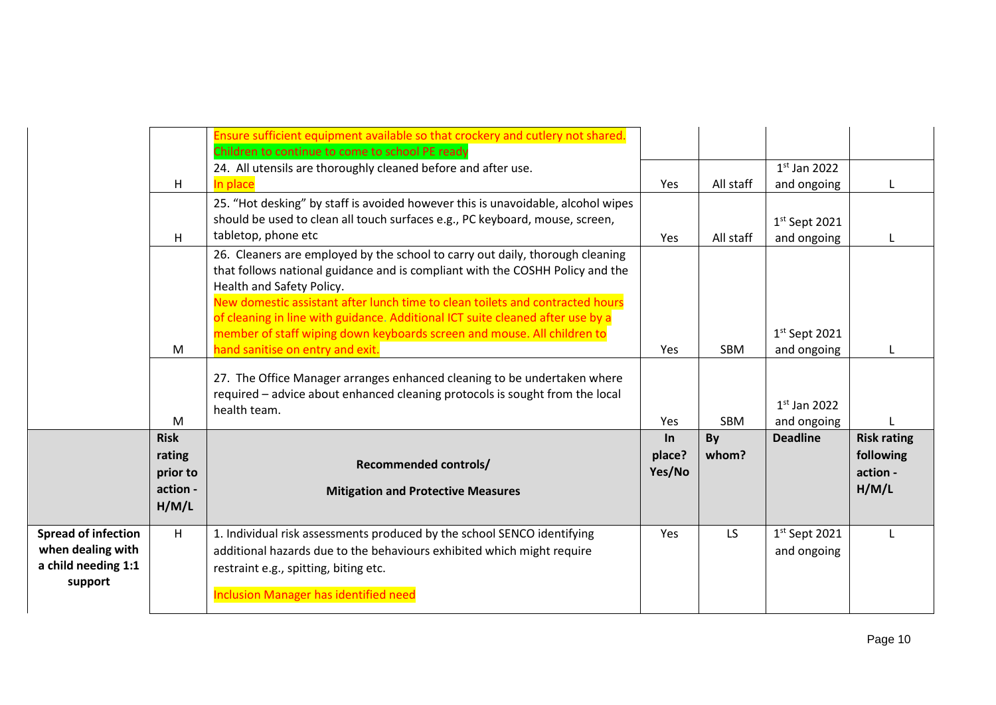|                                                                                   | H                                                      | Ensure sufficient equipment available so that crockery and cutlery not shared.<br>Children to continue to come to school PE ready<br>24. All utensils are thoroughly cleaned before and after use.<br>In place                                                                                                                                                                                                                            | Yes                    | All staff   | $1st$ Jan 2022<br>and ongoing  | L                                                    |
|-----------------------------------------------------------------------------------|--------------------------------------------------------|-------------------------------------------------------------------------------------------------------------------------------------------------------------------------------------------------------------------------------------------------------------------------------------------------------------------------------------------------------------------------------------------------------------------------------------------|------------------------|-------------|--------------------------------|------------------------------------------------------|
|                                                                                   | H                                                      | 25. "Hot desking" by staff is avoided however this is unavoidable, alcohol wipes<br>should be used to clean all touch surfaces e.g., PC keyboard, mouse, screen,<br>tabletop, phone etc                                                                                                                                                                                                                                                   | Yes                    | All staff   | $1st$ Sept 2021<br>and ongoing |                                                      |
|                                                                                   |                                                        | 26. Cleaners are employed by the school to carry out daily, thorough cleaning<br>that follows national guidance and is compliant with the COSHH Policy and the<br>Health and Safety Policy.<br>New domestic assistant after lunch time to clean toilets and contracted hours<br>of cleaning in line with guidance. Additional ICT suite cleaned after use by a<br>member of staff wiping down keyboards screen and mouse. All children to |                        |             | $1st$ Sept 2021                |                                                      |
|                                                                                   | M                                                      | hand sanitise on entry and exit.                                                                                                                                                                                                                                                                                                                                                                                                          | Yes                    | <b>SBM</b>  | and ongoing                    |                                                      |
|                                                                                   | M                                                      | 27. The Office Manager arranges enhanced cleaning to be undertaken where<br>required - advice about enhanced cleaning protocols is sought from the local<br>health team.                                                                                                                                                                                                                                                                  | Yes                    | <b>SBM</b>  | $1st$ Jan 2022<br>and ongoing  |                                                      |
|                                                                                   | <b>Risk</b><br>rating<br>prior to<br>action -<br>H/M/L | <b>Recommended controls/</b><br><b>Mitigation and Protective Measures</b>                                                                                                                                                                                                                                                                                                                                                                 | In<br>place?<br>Yes/No | By<br>whom? | <b>Deadline</b>                | <b>Risk rating</b><br>following<br>action -<br>H/M/L |
| <b>Spread of infection</b><br>when dealing with<br>a child needing 1:1<br>support | H                                                      | 1. Individual risk assessments produced by the school SENCO identifying<br>additional hazards due to the behaviours exhibited which might require<br>restraint e.g., spitting, biting etc.<br><b>Inclusion Manager has identified need</b>                                                                                                                                                                                                | Yes                    | LS.         | $1st$ Sept 2021<br>and ongoing | L                                                    |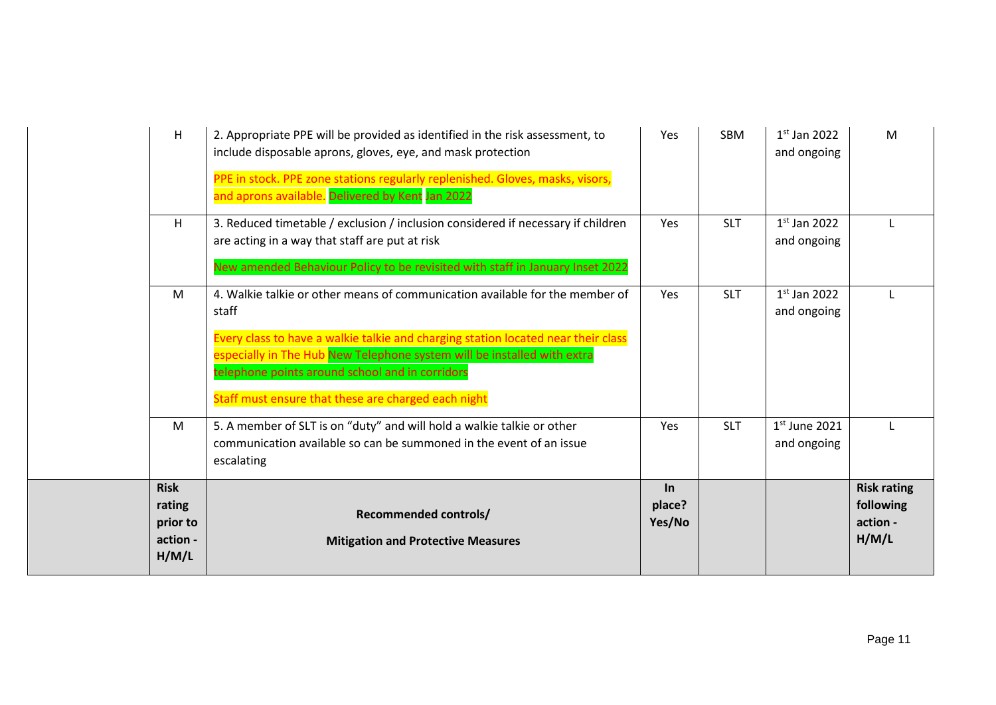| H                                                      | 2. Appropriate PPE will be provided as identified in the risk assessment, to<br>include disposable aprons, gloves, eye, and mask protection<br>PPE in stock. PPE zone stations regularly replenished. Gloves, masks, visors,<br>and aprons available. Delivered by Kent Jan 2022                                                                                | Yes                       | <b>SBM</b> | $1st$ Jan 2022<br>and ongoing  | M                                                    |
|--------------------------------------------------------|-----------------------------------------------------------------------------------------------------------------------------------------------------------------------------------------------------------------------------------------------------------------------------------------------------------------------------------------------------------------|---------------------------|------------|--------------------------------|------------------------------------------------------|
| H                                                      | 3. Reduced timetable / exclusion / inclusion considered if necessary if children<br>are acting in a way that staff are put at risk<br>New amended Behaviour Policy to be revisited with staff in January Inset 2022                                                                                                                                             | <b>Yes</b>                | <b>SLT</b> | $1st$ Jan 2022<br>and ongoing  |                                                      |
| M                                                      | 4. Walkie talkie or other means of communication available for the member of<br>staff<br>Every class to have a walkie talkie and charging station located near their class<br>especially in The Hub New Telephone system will be installed with extra<br>telephone points around school and in corridors<br>Staff must ensure that these are charged each night | Yes                       | <b>SLT</b> | $1st$ Jan 2022<br>and ongoing  | L                                                    |
| M                                                      | 5. A member of SLT is on "duty" and will hold a walkie talkie or other<br>communication available so can be summoned in the event of an issue<br>escalating                                                                                                                                                                                                     | Yes                       | <b>SLT</b> | $1st$ June 2021<br>and ongoing | L                                                    |
| <b>Risk</b><br>rating<br>prior to<br>action -<br>H/M/L | <b>Recommended controls/</b><br><b>Mitigation and Protective Measures</b>                                                                                                                                                                                                                                                                                       | $\ln$<br>place?<br>Yes/No |            |                                | <b>Risk rating</b><br>following<br>action -<br>H/M/L |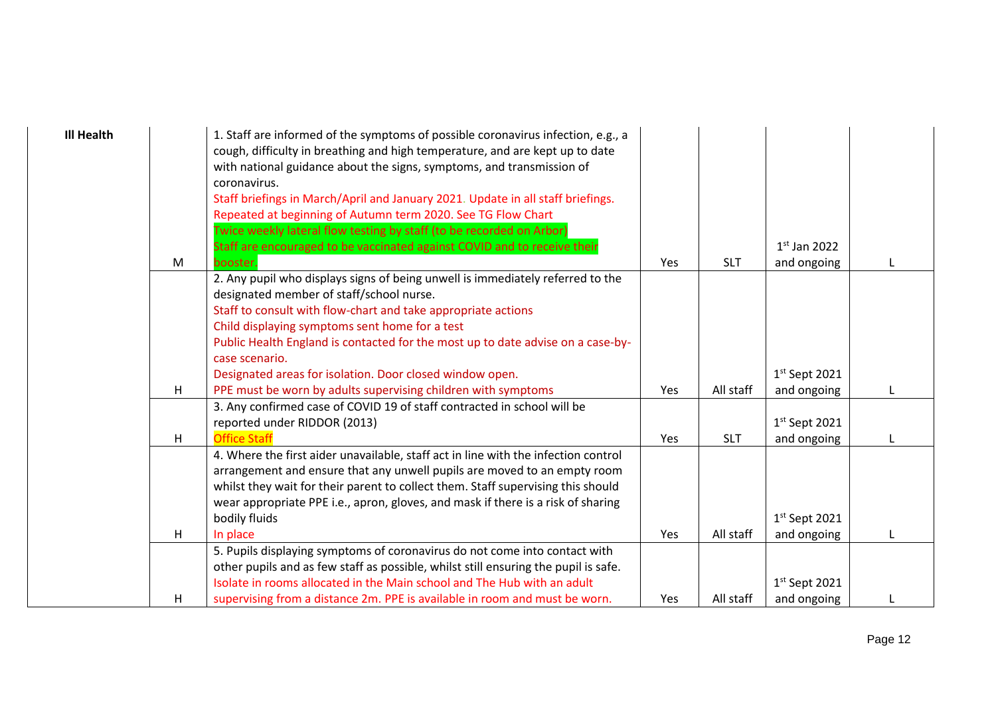| <b>Ill Health</b> |   | 1. Staff are informed of the symptoms of possible coronavirus infection, e.g., a<br>cough, difficulty in breathing and high temperature, and are kept up to date<br>with national guidance about the signs, symptoms, and transmission of<br>coronavirus.<br>Staff briefings in March/April and January 2021. Update in all staff briefings.<br>Repeated at beginning of Autumn term 2020. See TG Flow Chart<br>Twice weekly lateral flow testing by staff (to be recorded on Arbor) |     |            |                 |  |
|-------------------|---|--------------------------------------------------------------------------------------------------------------------------------------------------------------------------------------------------------------------------------------------------------------------------------------------------------------------------------------------------------------------------------------------------------------------------------------------------------------------------------------|-----|------------|-----------------|--|
|                   |   | Staff are encouraged to be vaccinated against COVID and to receive their                                                                                                                                                                                                                                                                                                                                                                                                             |     |            | $1st$ Jan 2022  |  |
|                   | M | booster.                                                                                                                                                                                                                                                                                                                                                                                                                                                                             | Yes | <b>SLT</b> | and ongoing     |  |
|                   |   | 2. Any pupil who displays signs of being unwell is immediately referred to the<br>designated member of staff/school nurse.<br>Staff to consult with flow-chart and take appropriate actions                                                                                                                                                                                                                                                                                          |     |            |                 |  |
|                   |   | Child displaying symptoms sent home for a test                                                                                                                                                                                                                                                                                                                                                                                                                                       |     |            |                 |  |
|                   |   | Public Health England is contacted for the most up to date advise on a case-by-                                                                                                                                                                                                                                                                                                                                                                                                      |     |            |                 |  |
|                   |   | case scenario.                                                                                                                                                                                                                                                                                                                                                                                                                                                                       |     |            |                 |  |
|                   |   | Designated areas for isolation. Door closed window open.                                                                                                                                                                                                                                                                                                                                                                                                                             |     |            | $1st$ Sept 2021 |  |
|                   | H | PPE must be worn by adults supervising children with symptoms                                                                                                                                                                                                                                                                                                                                                                                                                        | Yes | All staff  | and ongoing     |  |
|                   |   | 3. Any confirmed case of COVID 19 of staff contracted in school will be                                                                                                                                                                                                                                                                                                                                                                                                              |     |            |                 |  |
|                   |   | reported under RIDDOR (2013)                                                                                                                                                                                                                                                                                                                                                                                                                                                         |     |            | $1st$ Sept 2021 |  |
|                   | H | <b>Office Staff</b>                                                                                                                                                                                                                                                                                                                                                                                                                                                                  | Yes | <b>SLT</b> | and ongoing     |  |
|                   |   | 4. Where the first aider unavailable, staff act in line with the infection control                                                                                                                                                                                                                                                                                                                                                                                                   |     |            |                 |  |
|                   |   | arrangement and ensure that any unwell pupils are moved to an empty room                                                                                                                                                                                                                                                                                                                                                                                                             |     |            |                 |  |
|                   |   | whilst they wait for their parent to collect them. Staff supervising this should                                                                                                                                                                                                                                                                                                                                                                                                     |     |            |                 |  |
|                   |   | wear appropriate PPE i.e., apron, gloves, and mask if there is a risk of sharing                                                                                                                                                                                                                                                                                                                                                                                                     |     |            |                 |  |
|                   |   | bodily fluids                                                                                                                                                                                                                                                                                                                                                                                                                                                                        |     |            | $1st$ Sept 2021 |  |
|                   | H | In place                                                                                                                                                                                                                                                                                                                                                                                                                                                                             | Yes | All staff  | and ongoing     |  |
|                   |   | 5. Pupils displaying symptoms of coronavirus do not come into contact with                                                                                                                                                                                                                                                                                                                                                                                                           |     |            |                 |  |
|                   |   | other pupils and as few staff as possible, whilst still ensuring the pupil is safe.                                                                                                                                                                                                                                                                                                                                                                                                  |     |            |                 |  |
|                   |   | Isolate in rooms allocated in the Main school and The Hub with an adult                                                                                                                                                                                                                                                                                                                                                                                                              |     |            | $1st$ Sept 2021 |  |
|                   | H | supervising from a distance 2m. PPE is available in room and must be worn.                                                                                                                                                                                                                                                                                                                                                                                                           | Yes | All staff  | and ongoing     |  |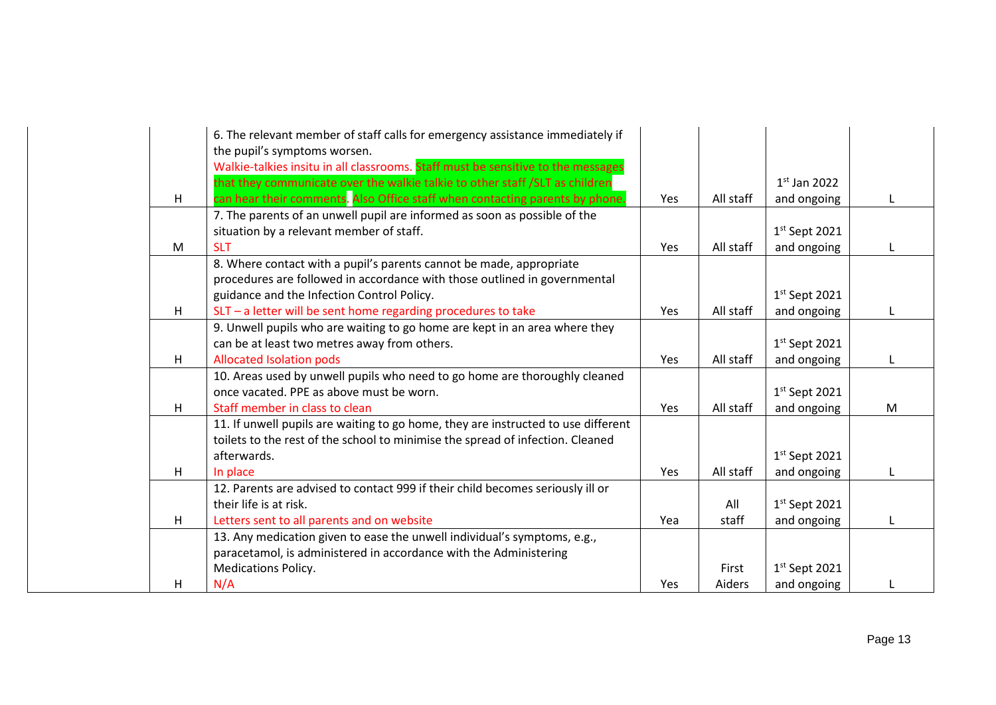|   | 6. The relevant member of staff calls for emergency assistance immediately if<br>the pupil's symptoms worsen. |            |           |                 |   |
|---|---------------------------------------------------------------------------------------------------------------|------------|-----------|-----------------|---|
|   | Walkie-talkies insitu in all classrooms. Staff must be sensitive to the messages                              |            |           |                 |   |
|   | that they communicate over the walkie talkie to other staff /SLT as children                                  |            |           | $1st$ Jan 2022  |   |
| н | can hear their comments. Also Office staff when contacting parents by phone.                                  | Yes        | All staff | and ongoing     |   |
|   | 7. The parents of an unwell pupil are informed as soon as possible of the                                     |            |           |                 |   |
|   | situation by a relevant member of staff.                                                                      |            |           | $1st$ Sept 2021 |   |
| M | <b>SLT</b>                                                                                                    | Yes        | All staff | and ongoing     |   |
|   | 8. Where contact with a pupil's parents cannot be made, appropriate                                           |            |           |                 |   |
|   | procedures are followed in accordance with those outlined in governmental                                     |            |           |                 |   |
|   | guidance and the Infection Control Policy.                                                                    |            |           | $1st$ Sept 2021 |   |
| н | SLT - a letter will be sent home regarding procedures to take                                                 | Yes        | All staff | and ongoing     |   |
|   | 9. Unwell pupils who are waiting to go home are kept in an area where they                                    |            |           |                 |   |
|   | can be at least two metres away from others.                                                                  |            |           | $1st$ Sept 2021 |   |
| н | <b>Allocated Isolation pods</b>                                                                               | Yes        | All staff | and ongoing     |   |
|   | 10. Areas used by unwell pupils who need to go home are thoroughly cleaned                                    |            |           |                 |   |
|   | once vacated. PPE as above must be worn.                                                                      |            |           | $1st$ Sept 2021 |   |
| H | Staff member in class to clean                                                                                | Yes        | All staff | and ongoing     | M |
|   | 11. If unwell pupils are waiting to go home, they are instructed to use different                             |            |           |                 |   |
|   | toilets to the rest of the school to minimise the spread of infection. Cleaned                                |            |           |                 |   |
|   | afterwards.                                                                                                   |            |           | $1st$ Sept 2021 |   |
| H | In place                                                                                                      | <b>Yes</b> | All staff | and ongoing     |   |
|   | 12. Parents are advised to contact 999 if their child becomes seriously ill or                                |            |           |                 |   |
|   | their life is at risk.                                                                                        |            | All       | $1st$ Sept 2021 |   |
| H | Letters sent to all parents and on website                                                                    | Yea        | staff     | and ongoing     |   |
|   | 13. Any medication given to ease the unwell individual's symptoms, e.g.,                                      |            |           |                 |   |
|   | paracetamol, is administered in accordance with the Administering                                             |            |           |                 |   |
|   | <b>Medications Policy.</b>                                                                                    |            | First     | $1st$ Sept 2021 |   |
| н | N/A                                                                                                           | Yes        | Aiders    | and ongoing     |   |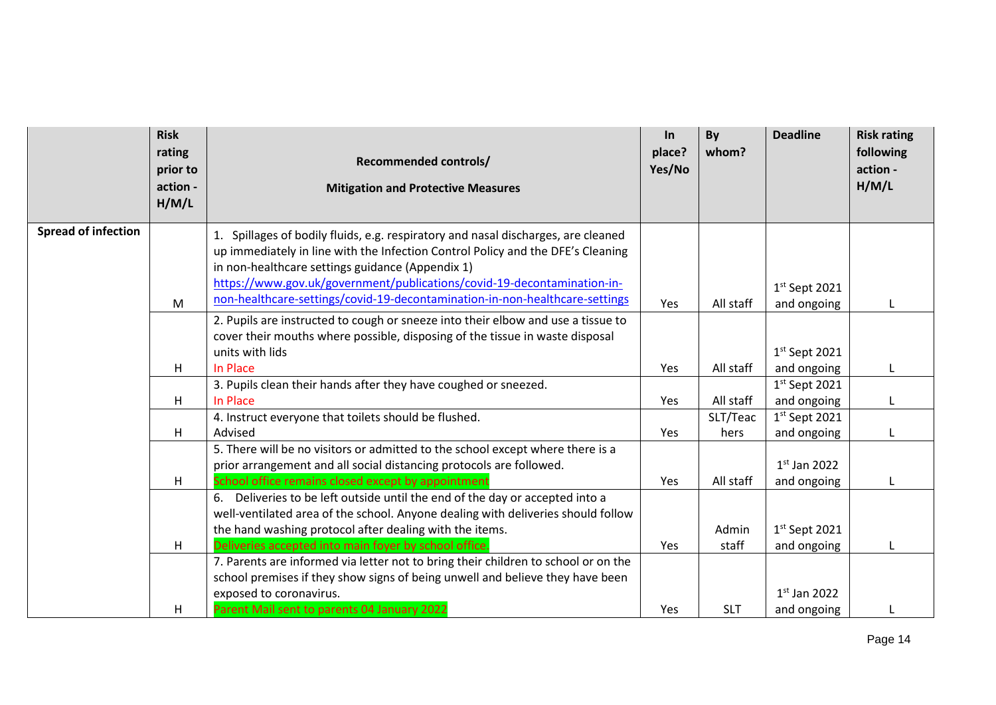|                            | <b>Risk</b><br>rating<br>prior to<br>action -<br>H/M/L | <b>Recommended controls/</b><br><b>Mitigation and Protective Measures</b>                                                                                           | In<br>place?<br>Yes/No | By<br>whom?    | <b>Deadline</b>                | <b>Risk rating</b><br>following<br>action -<br>H/M/L |
|----------------------------|--------------------------------------------------------|---------------------------------------------------------------------------------------------------------------------------------------------------------------------|------------------------|----------------|--------------------------------|------------------------------------------------------|
| <b>Spread of infection</b> |                                                        | 1. Spillages of bodily fluids, e.g. respiratory and nasal discharges, are cleaned                                                                                   |                        |                |                                |                                                      |
|                            |                                                        | up immediately in line with the Infection Control Policy and the DFE's Cleaning                                                                                     |                        |                |                                |                                                      |
|                            |                                                        | in non-healthcare settings guidance (Appendix 1)<br>https://www.gov.uk/government/publications/covid-19-decontamination-in-                                         |                        |                |                                |                                                      |
|                            | M                                                      | non-healthcare-settings/covid-19-decontamination-in-non-healthcare-settings                                                                                         | Yes                    | All staff      | $1st$ Sept 2021<br>and ongoing |                                                      |
|                            |                                                        | 2. Pupils are instructed to cough or sneeze into their elbow and use a tissue to                                                                                    |                        |                |                                |                                                      |
|                            |                                                        | cover their mouths where possible, disposing of the tissue in waste disposal                                                                                        |                        |                |                                |                                                      |
|                            |                                                        | units with lids                                                                                                                                                     |                        |                | $1st$ Sept 2021                |                                                      |
|                            | H                                                      | In Place                                                                                                                                                            | Yes                    | All staff      | and ongoing                    |                                                      |
|                            |                                                        | 3. Pupils clean their hands after they have coughed or sneezed.                                                                                                     |                        |                | $1st$ Sept 2021                |                                                      |
|                            | H                                                      | In Place                                                                                                                                                            | Yes                    | All staff      | and ongoing                    |                                                      |
|                            |                                                        | 4. Instruct everyone that toilets should be flushed.                                                                                                                |                        | SLT/Teac       | $1st$ Sept 2021                |                                                      |
|                            | H                                                      | Advised                                                                                                                                                             | Yes                    | hers           | and ongoing                    |                                                      |
|                            |                                                        | 5. There will be no visitors or admitted to the school except where there is a                                                                                      |                        |                |                                |                                                      |
|                            |                                                        | prior arrangement and all social distancing protocols are followed.                                                                                                 |                        |                | $1st$ Jan 2022                 |                                                      |
|                            | H                                                      | School office remains closed except by appointment                                                                                                                  | Yes                    | All staff      | and ongoing                    |                                                      |
|                            |                                                        | 6. Deliveries to be left outside until the end of the day or accepted into a                                                                                        |                        |                |                                |                                                      |
|                            |                                                        | well-ventilated area of the school. Anyone dealing with deliveries should follow                                                                                    |                        |                |                                |                                                      |
|                            |                                                        | the hand washing protocol after dealing with the items.                                                                                                             | Yes                    | Admin<br>staff | $1st$ Sept 2021                |                                                      |
|                            | н                                                      | Deliveries accepted into main foyer by school office.                                                                                                               |                        |                | and ongoing                    |                                                      |
|                            |                                                        | 7. Parents are informed via letter not to bring their children to school or on the<br>school premises if they show signs of being unwell and believe they have been |                        |                |                                |                                                      |
|                            |                                                        | exposed to coronavirus.                                                                                                                                             |                        |                | $1st$ Jan 2022                 |                                                      |
|                            | н                                                      | Parent Mail sent to parents 04 January 2022                                                                                                                         | <b>Yes</b>             | <b>SLT</b>     | and ongoing                    |                                                      |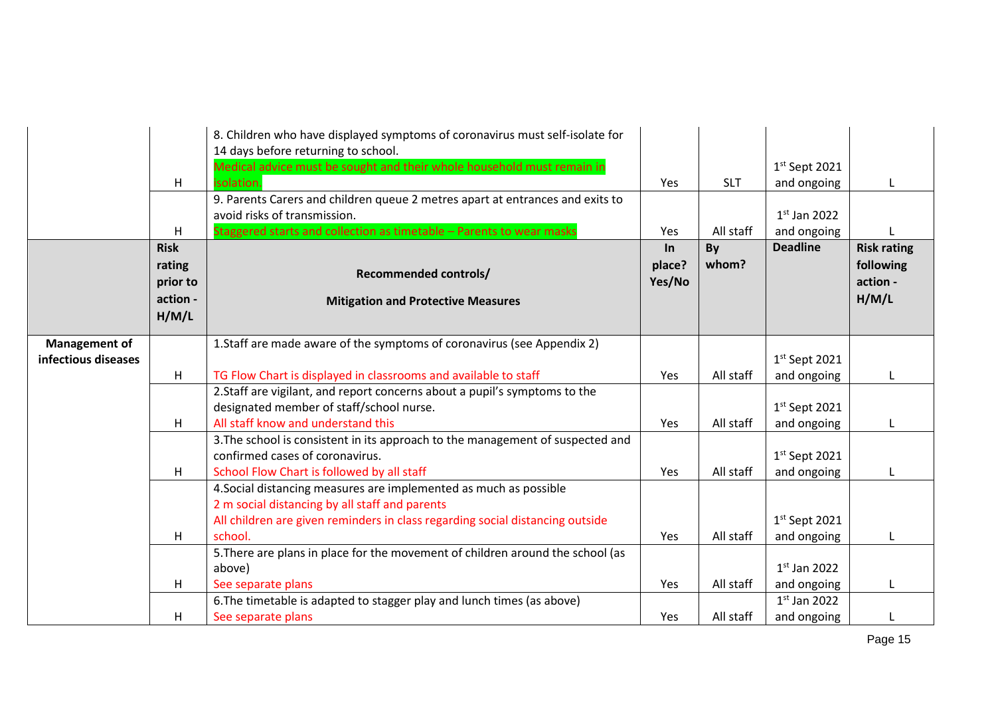|                     | H                                       | 8. Children who have displayed symptoms of coronavirus must self-isolate for<br>14 days before returning to school.<br>Medical advice must be sought and their whole household must remain in<br>isolation.<br>9. Parents Carers and children queue 2 metres apart at entrances and exits to | Yes              | <b>SLT</b>      | $1st$ Sept 2021<br>and ongoing | L                              |
|---------------------|-----------------------------------------|----------------------------------------------------------------------------------------------------------------------------------------------------------------------------------------------------------------------------------------------------------------------------------------------|------------------|-----------------|--------------------------------|--------------------------------|
|                     |                                         | avoid risks of transmission.                                                                                                                                                                                                                                                                 |                  |                 | $1st$ Jan 2022                 |                                |
|                     | H<br><b>Risk</b>                        | Staggered starts and collection as timetable - Parents to wear masks                                                                                                                                                                                                                         | Yes<br>In        | All staff<br>By | and ongoing<br><b>Deadline</b> | <b>Risk rating</b>             |
|                     | rating<br>prior to<br>action -<br>H/M/L | <b>Recommended controls/</b><br><b>Mitigation and Protective Measures</b>                                                                                                                                                                                                                    | place?<br>Yes/No | whom?           |                                | following<br>action -<br>H/M/L |
| Management of       |                                         | 1. Staff are made aware of the symptoms of coronavirus (see Appendix 2)                                                                                                                                                                                                                      |                  |                 |                                |                                |
| infectious diseases |                                         |                                                                                                                                                                                                                                                                                              |                  |                 | $1st$ Sept 2021                |                                |
|                     | H                                       | TG Flow Chart is displayed in classrooms and available to staff                                                                                                                                                                                                                              | Yes              | All staff       | and ongoing                    |                                |
|                     |                                         | 2. Staff are vigilant, and report concerns about a pupil's symptoms to the                                                                                                                                                                                                                   |                  |                 |                                |                                |
|                     | H                                       | designated member of staff/school nurse.<br>All staff know and understand this                                                                                                                                                                                                               | Yes              | All staff       | $1st$ Sept 2021<br>and ongoing | L                              |
|                     |                                         | 3. The school is consistent in its approach to the management of suspected and                                                                                                                                                                                                               |                  |                 |                                |                                |
|                     |                                         | confirmed cases of coronavirus.                                                                                                                                                                                                                                                              |                  |                 | $1st$ Sept 2021                |                                |
|                     | H                                       | School Flow Chart is followed by all staff                                                                                                                                                                                                                                                   | Yes              | All staff       | and ongoing                    |                                |
|                     |                                         | 4. Social distancing measures are implemented as much as possible<br>2 m social distancing by all staff and parents                                                                                                                                                                          |                  |                 |                                |                                |
|                     |                                         | All children are given reminders in class regarding social distancing outside                                                                                                                                                                                                                |                  |                 | $1st$ Sept 2021                |                                |
|                     | H                                       | school.                                                                                                                                                                                                                                                                                      | Yes              | All staff       | and ongoing                    |                                |
|                     |                                         | 5. There are plans in place for the movement of children around the school (as                                                                                                                                                                                                               |                  |                 |                                |                                |
|                     |                                         | above)                                                                                                                                                                                                                                                                                       |                  |                 | $1st$ Jan 2022                 |                                |
|                     | H                                       | See separate plans                                                                                                                                                                                                                                                                           | Yes              | All staff       | and ongoing                    |                                |
|                     |                                         | 6. The timetable is adapted to stagger play and lunch times (as above)                                                                                                                                                                                                                       |                  |                 | $1st$ Jan 2022                 |                                |
|                     | H                                       | See separate plans                                                                                                                                                                                                                                                                           | <b>Yes</b>       | All staff       | and ongoing                    |                                |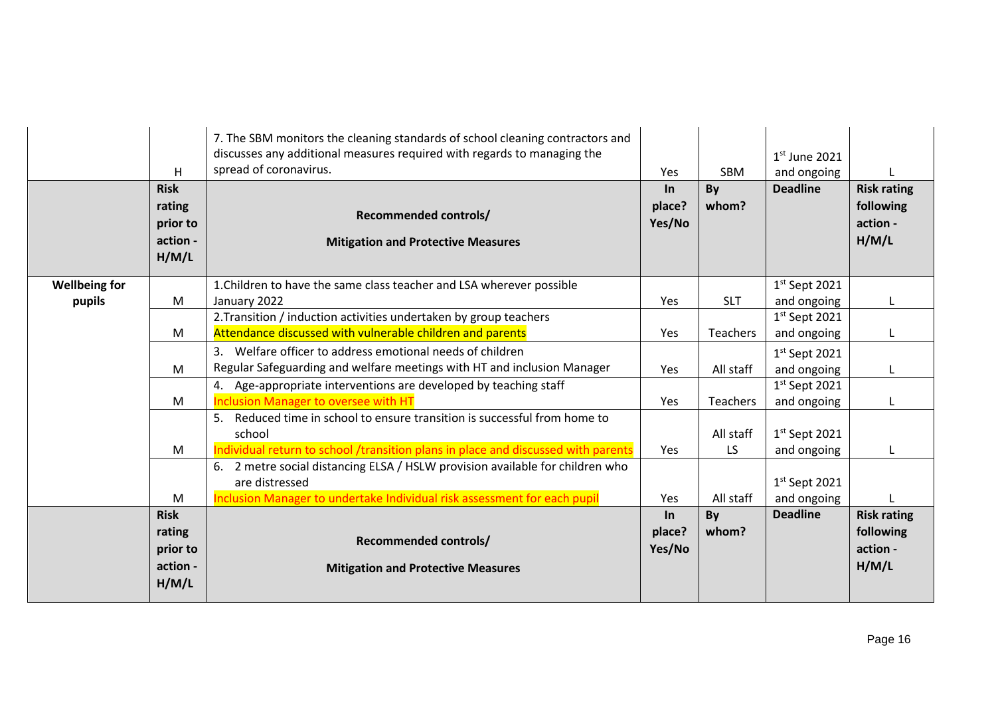|                                | H                                                      | 7. The SBM monitors the cleaning standards of school cleaning contractors and<br>discusses any additional measures required with regards to managing the<br>spread of coronavirus. | Yes                       | SBM                    | $1st$ June 2021<br>and ongoing |                                                      |
|--------------------------------|--------------------------------------------------------|------------------------------------------------------------------------------------------------------------------------------------------------------------------------------------|---------------------------|------------------------|--------------------------------|------------------------------------------------------|
|                                | <b>Risk</b><br>rating<br>prior to<br>action -<br>H/M/L | <b>Recommended controls/</b><br><b>Mitigation and Protective Measures</b>                                                                                                          | $\ln$<br>place?<br>Yes/No | By<br>whom?            | <b>Deadline</b>                | <b>Risk rating</b><br>following<br>action -<br>H/M/L |
| <b>Wellbeing for</b><br>pupils | M                                                      | 1. Children to have the same class teacher and LSA wherever possible<br>January 2022                                                                                               | Yes                       | <b>SLT</b>             | $1st$ Sept 2021<br>and ongoing |                                                      |
|                                | M                                                      | 2. Transition / induction activities undertaken by group teachers<br>Attendance discussed with vulnerable children and parents                                                     | Yes                       | Teachers               | $1st$ Sept 2021<br>and ongoing |                                                      |
|                                | M                                                      | 3. Welfare officer to address emotional needs of children<br>Regular Safeguarding and welfare meetings with HT and inclusion Manager                                               | Yes                       | All staff              | $1st$ Sept 2021<br>and ongoing |                                                      |
|                                | M                                                      | 4. Age-appropriate interventions are developed by teaching staff<br><b>Inclusion Manager to oversee with HT</b>                                                                    | Yes                       | Teachers               | $1st$ Sept 2021<br>and ongoing |                                                      |
|                                | M                                                      | Reduced time in school to ensure transition is successful from home to<br>5.<br>school<br>Individual return to school /transition plans in place and discussed with parents        | Yes                       | All staff<br><b>LS</b> | $1st$ Sept 2021<br>and ongoing |                                                      |
|                                | M                                                      | 6. 2 metre social distancing ELSA / HSLW provision available for children who<br>are distressed<br>Inclusion Manager to undertake Individual risk assessment for each pupil        | Yes                       | All staff              | $1st$ Sept 2021<br>and ongoing |                                                      |
|                                | <b>Risk</b><br>rating<br>prior to<br>action -<br>H/M/L | <b>Recommended controls/</b><br><b>Mitigation and Protective Measures</b>                                                                                                          | In<br>place?<br>Yes/No    | By<br>whom?            | <b>Deadline</b>                | <b>Risk rating</b><br>following<br>action -<br>H/M/L |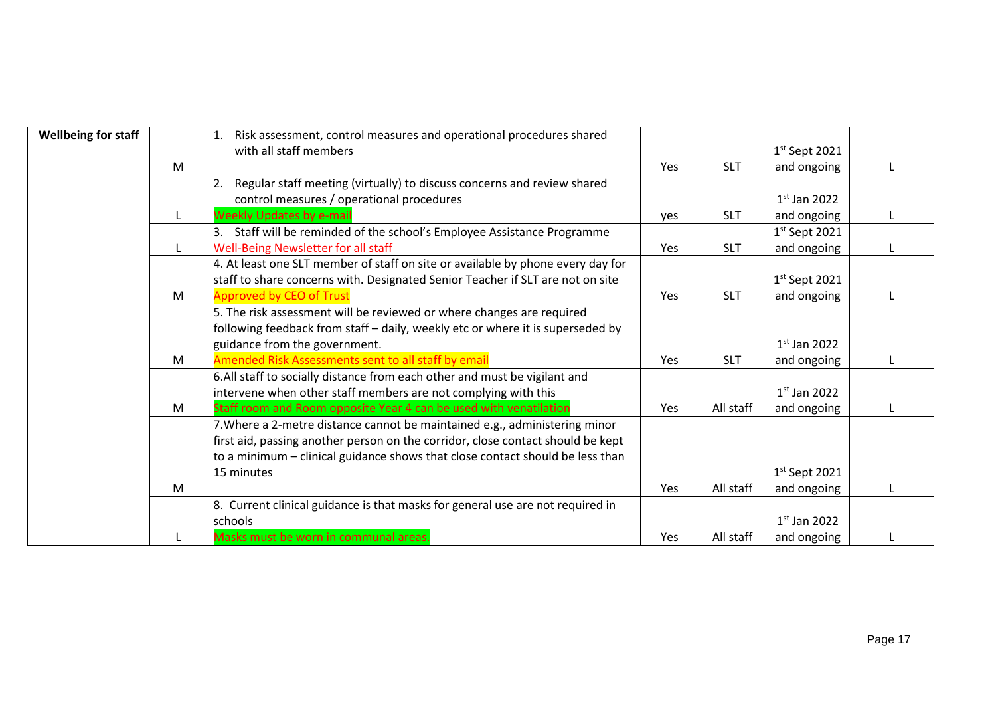| <b>Wellbeing for staff</b> |   | 1. Risk assessment, control measures and operational procedures shared          |            |            |                 |  |
|----------------------------|---|---------------------------------------------------------------------------------|------------|------------|-----------------|--|
|                            |   | with all staff members                                                          |            |            | $1st$ Sept 2021 |  |
|                            | M |                                                                                 | <b>Yes</b> | <b>SLT</b> | and ongoing     |  |
|                            |   | Regular staff meeting (virtually) to discuss concerns and review shared<br>2.   |            |            |                 |  |
|                            |   | control measures / operational procedures                                       |            |            | $1st$ Jan 2022  |  |
|                            |   | <b>Weekly Updates by e-mail</b>                                                 | ves        | <b>SLT</b> | and ongoing     |  |
|                            |   | 3. Staff will be reminded of the school's Employee Assistance Programme         |            |            | $1st$ Sept 2021 |  |
|                            |   | Well-Being Newsletter for all staff                                             | Yes        | <b>SLT</b> | and ongoing     |  |
|                            |   | 4. At least one SLT member of staff on site or available by phone every day for |            |            |                 |  |
|                            |   | staff to share concerns with. Designated Senior Teacher if SLT are not on site  |            |            | $1st$ Sept 2021 |  |
|                            | M | <b>Approved by CEO of Trust</b>                                                 | Yes        | <b>SLT</b> | and ongoing     |  |
|                            |   | 5. The risk assessment will be reviewed or where changes are required           |            |            |                 |  |
|                            |   | following feedback from staff - daily, weekly etc or where it is superseded by  |            |            |                 |  |
|                            |   | guidance from the government.                                                   |            |            | $1st$ Jan 2022  |  |
|                            | M | Amended Risk Assessments sent to all staff by email                             | Yes        | <b>SLT</b> | and ongoing     |  |
|                            |   | 6.All staff to socially distance from each other and must be vigilant and       |            |            |                 |  |
|                            |   | intervene when other staff members are not complying with this                  |            |            | $1st$ Jan 2022  |  |
|                            | M | Staff room and Room opposite Year 4 can be used with venatilation               | Yes        | All staff  | and ongoing     |  |
|                            |   | 7. Where a 2-metre distance cannot be maintained e.g., administering minor      |            |            |                 |  |
|                            |   | first aid, passing another person on the corridor, close contact should be kept |            |            |                 |  |
|                            |   | to a minimum – clinical guidance shows that close contact should be less than   |            |            |                 |  |
|                            |   | 15 minutes                                                                      |            |            | $1st$ Sept 2021 |  |
|                            | M |                                                                                 | Yes        | All staff  | and ongoing     |  |
|                            |   | 8. Current clinical guidance is that masks for general use are not required in  |            |            |                 |  |
|                            |   | schools                                                                         |            |            | $1st$ Jan 2022  |  |
|                            |   | Masks must be worn in communal areas.                                           | Yes        | All staff  | and ongoing     |  |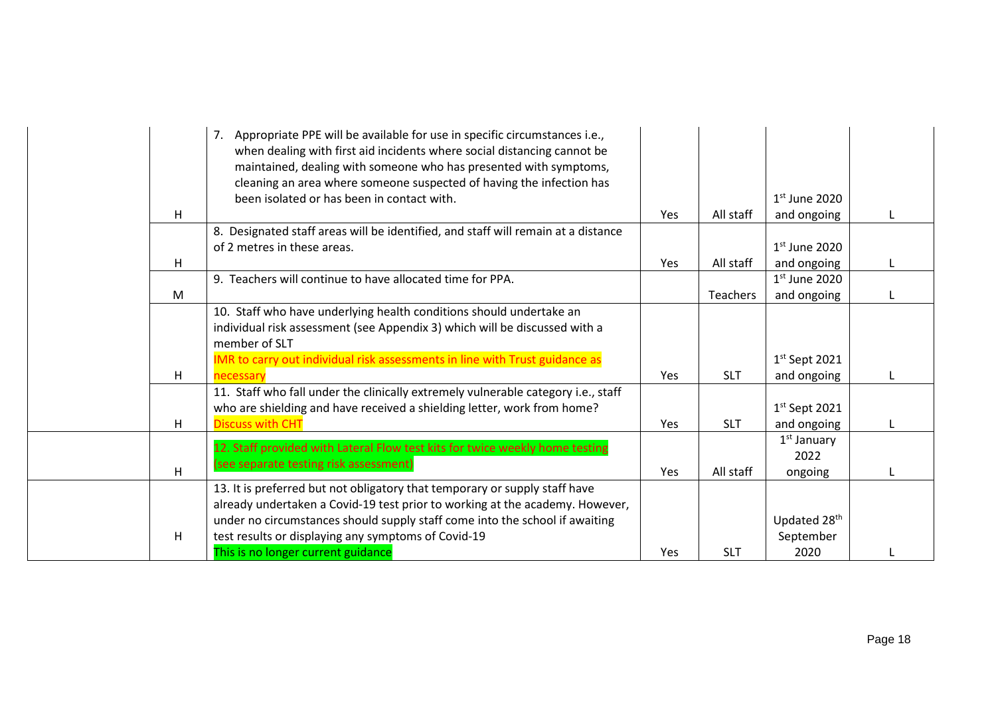|   | 7. Appropriate PPE will be available for use in specific circumstances i.e.,<br>when dealing with first aid incidents where social distancing cannot be<br>maintained, dealing with someone who has presented with symptoms,<br>cleaning an area where someone suspected of having the infection has |            |            |                                  |  |
|---|------------------------------------------------------------------------------------------------------------------------------------------------------------------------------------------------------------------------------------------------------------------------------------------------------|------------|------------|----------------------------------|--|
|   | been isolated or has been in contact with.                                                                                                                                                                                                                                                           | <b>Yes</b> |            | $1st$ June 2020                  |  |
| H | 8. Designated staff areas will be identified, and staff will remain at a distance                                                                                                                                                                                                                    |            | All staff  | and ongoing                      |  |
|   | of 2 metres in these areas.                                                                                                                                                                                                                                                                          |            |            | $1st$ June 2020                  |  |
| H |                                                                                                                                                                                                                                                                                                      | <b>Yes</b> | All staff  | and ongoing                      |  |
|   | 9. Teachers will continue to have allocated time for PPA.                                                                                                                                                                                                                                            |            |            | $1st$ June 2020                  |  |
| M |                                                                                                                                                                                                                                                                                                      |            | Teachers   | and ongoing                      |  |
|   | 10. Staff who have underlying health conditions should undertake an<br>individual risk assessment (see Appendix 3) which will be discussed with a<br>member of SLT                                                                                                                                   |            |            |                                  |  |
|   | IMR to carry out individual risk assessments in line with Trust guidance as                                                                                                                                                                                                                          |            |            | $1st$ Sept 2021                  |  |
| H | necessary                                                                                                                                                                                                                                                                                            | <b>Yes</b> | <b>SLT</b> | and ongoing                      |  |
|   | 11. Staff who fall under the clinically extremely vulnerable category i.e., staff<br>who are shielding and have received a shielding letter, work from home?                                                                                                                                         |            |            | $1st$ Sept 2021                  |  |
| H | <b>Discuss with CHT</b>                                                                                                                                                                                                                                                                              | <b>Yes</b> | <b>SLT</b> | and ongoing                      |  |
| H | 12. Staff provided with Lateral Flow test kits for twice weekly home testing<br>(see separate testing risk assessment)                                                                                                                                                                               | Yes        | All staff  | $1st$ January<br>2022<br>ongoing |  |
|   | 13. It is preferred but not obligatory that temporary or supply staff have                                                                                                                                                                                                                           |            |            |                                  |  |
|   | already undertaken a Covid-19 test prior to working at the academy. However,                                                                                                                                                                                                                         |            |            |                                  |  |
|   | under no circumstances should supply staff come into the school if awaiting                                                                                                                                                                                                                          |            |            | Updated 28 <sup>th</sup>         |  |
| H | test results or displaying any symptoms of Covid-19                                                                                                                                                                                                                                                  |            |            | September                        |  |
|   | This is no longer current guidance                                                                                                                                                                                                                                                                   | <b>Yes</b> | <b>SLT</b> | 2020                             |  |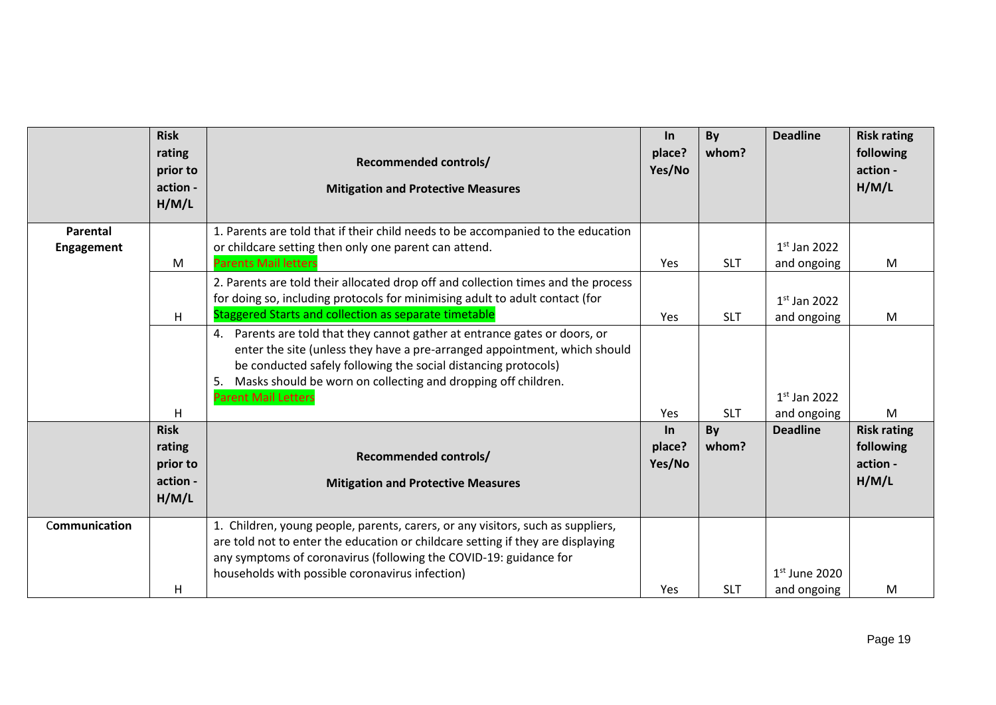|                               | <b>Risk</b><br>rating<br>prior to<br>action -<br>H/M/L | <b>Recommended controls/</b><br><b>Mitigation and Protective Measures</b>                                                                                                                                                                                                                                                      | In<br>place?<br>Yes/No    | By<br>whom? | <b>Deadline</b>                | <b>Risk rating</b><br>following<br>action -<br>H/M/L |
|-------------------------------|--------------------------------------------------------|--------------------------------------------------------------------------------------------------------------------------------------------------------------------------------------------------------------------------------------------------------------------------------------------------------------------------------|---------------------------|-------------|--------------------------------|------------------------------------------------------|
| Parental<br><b>Engagement</b> | M                                                      | 1. Parents are told that if their child needs to be accompanied to the education<br>or childcare setting then only one parent can attend.<br><b>Parents Mail letters</b>                                                                                                                                                       | Yes                       | <b>SLT</b>  | $1st$ Jan 2022<br>and ongoing  | M                                                    |
|                               | н                                                      | 2. Parents are told their allocated drop off and collection times and the process<br>for doing so, including protocols for minimising adult to adult contact (for<br>Staggered Starts and collection as separate timetable                                                                                                     | Yes                       | <b>SLT</b>  | $1st$ Jan 2022<br>and ongoing  | M                                                    |
|                               |                                                        | 4. Parents are told that they cannot gather at entrance gates or doors, or<br>enter the site (unless they have a pre-arranged appointment, which should<br>be conducted safely following the social distancing protocols)<br>Masks should be worn on collecting and dropping off children.<br>5.<br><b>Parent Mail Letters</b> |                           |             | $1st$ Jan 2022                 |                                                      |
|                               | H                                                      |                                                                                                                                                                                                                                                                                                                                | Yes                       | <b>SLT</b>  | and ongoing                    | M                                                    |
|                               | <b>Risk</b><br>rating<br>prior to<br>action -<br>H/M/L | <b>Recommended controls/</b><br><b>Mitigation and Protective Measures</b>                                                                                                                                                                                                                                                      | $\ln$<br>place?<br>Yes/No | By<br>whom? | <b>Deadline</b>                | <b>Risk rating</b><br>following<br>action -<br>H/M/L |
| Communication                 | H                                                      | 1. Children, young people, parents, carers, or any visitors, such as suppliers,<br>are told not to enter the education or childcare setting if they are displaying<br>any symptoms of coronavirus (following the COVID-19: guidance for<br>households with possible coronavirus infection)                                     | Yes                       | <b>SLT</b>  | $1st$ June 2020<br>and ongoing | M                                                    |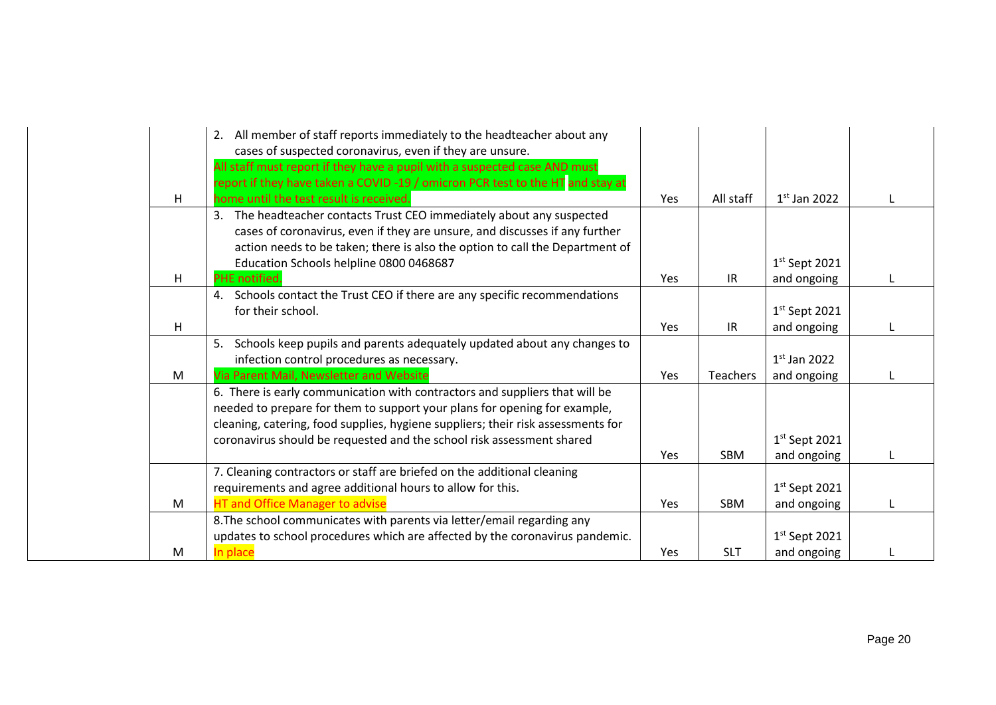|    | 2. All member of staff reports immediately to the headteacher about any<br>cases of suspected coronavirus, even if they are unsure. |     |                 |                 |   |
|----|-------------------------------------------------------------------------------------------------------------------------------------|-----|-----------------|-----------------|---|
|    | All staff must report if they have a pupil with a suspected case AND must                                                           |     |                 |                 |   |
|    | report if they have taken a COVID -19 / omicron PCR test to the HT and stay at                                                      |     |                 |                 |   |
| H. | home until the test result is received.                                                                                             | Yes | All staff       | $1st$ Jan 2022  |   |
|    | 3. The headteacher contacts Trust CEO immediately about any suspected                                                               |     |                 |                 |   |
|    | cases of coronavirus, even if they are unsure, and discusses if any further                                                         |     |                 |                 |   |
|    | action needs to be taken; there is also the option to call the Department of                                                        |     |                 |                 |   |
|    | Education Schools helpline 0800 0468687                                                                                             |     |                 | $1st$ Sept 2021 |   |
| Н  | <b>PHE</b> notified.                                                                                                                | Yes | IR              | and ongoing     |   |
|    | 4. Schools contact the Trust CEO if there are any specific recommendations                                                          |     |                 |                 |   |
|    | for their school.                                                                                                                   |     |                 | $1st$ Sept 2021 |   |
| H  |                                                                                                                                     | Yes | IR.             | and ongoing     | L |
|    | 5. Schools keep pupils and parents adequately updated about any changes to                                                          |     |                 |                 |   |
|    | infection control procedures as necessary.                                                                                          |     |                 | $1st$ Jan 2022  |   |
| M  | Via Parent Mail, Newsletter and Website                                                                                             | Yes | <b>Teachers</b> | and ongoing     |   |
|    | 6. There is early communication with contractors and suppliers that will be                                                         |     |                 |                 |   |
|    | needed to prepare for them to support your plans for opening for example,                                                           |     |                 |                 |   |
|    | cleaning, catering, food supplies, hygiene suppliers; their risk assessments for                                                    |     |                 |                 |   |
|    | coronavirus should be requested and the school risk assessment shared                                                               |     |                 | $1st$ Sept 2021 |   |
|    |                                                                                                                                     | Yes | <b>SBM</b>      | and ongoing     |   |
|    | 7. Cleaning contractors or staff are briefed on the additional cleaning                                                             |     |                 |                 |   |
|    | requirements and agree additional hours to allow for this.                                                                          |     |                 | $1st$ Sept 2021 |   |
| M  | <b>HT and Office Manager to advise</b>                                                                                              | Yes | <b>SBM</b>      | and ongoing     |   |
|    | 8. The school communicates with parents via letter/email regarding any                                                              |     |                 |                 |   |
|    | updates to school procedures which are affected by the coronavirus pandemic.                                                        |     |                 | $1st$ Sept 2021 |   |
| M  | In place                                                                                                                            | Yes | <b>SLT</b>      | and ongoing     |   |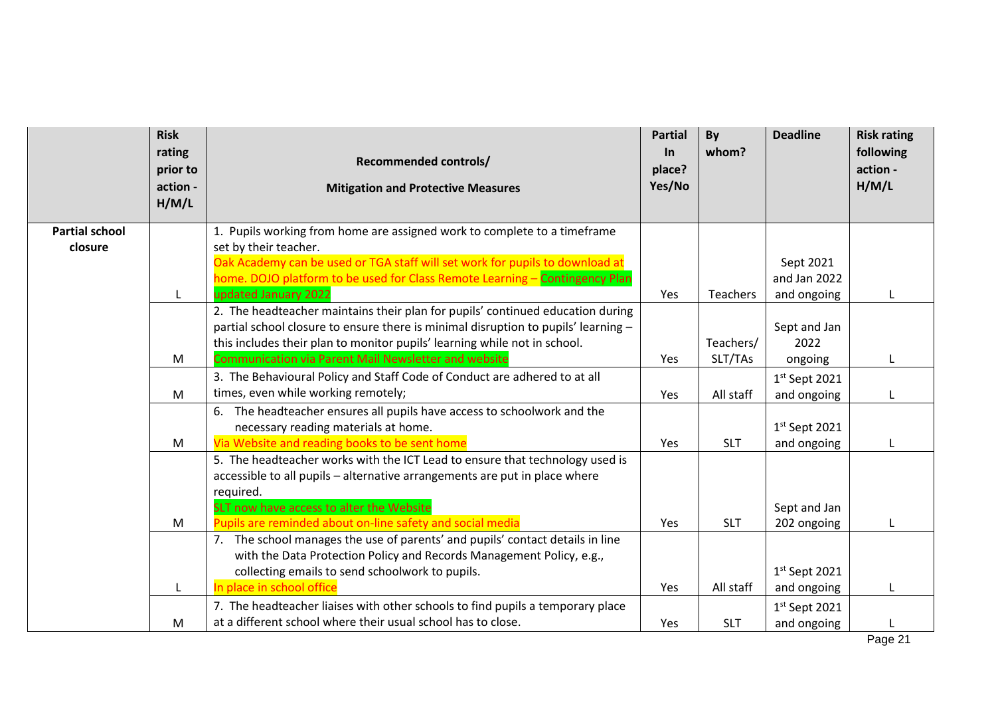|                       | <b>Risk</b><br>rating<br>prior to<br>action -<br>H/M/L | <b>Recommended controls/</b><br><b>Mitigation and Protective Measures</b>                                                                                                                                           | <b>Partial</b><br>$\ln$<br>place?<br>Yes/No | By<br>whom? | <b>Deadline</b>                | <b>Risk rating</b><br>following<br>action -<br>H/M/L |
|-----------------------|--------------------------------------------------------|---------------------------------------------------------------------------------------------------------------------------------------------------------------------------------------------------------------------|---------------------------------------------|-------------|--------------------------------|------------------------------------------------------|
| <b>Partial school</b> |                                                        | 1. Pupils working from home are assigned work to complete to a timeframe                                                                                                                                            |                                             |             |                                |                                                      |
| closure               |                                                        | set by their teacher.                                                                                                                                                                                               |                                             |             |                                |                                                      |
|                       |                                                        | Oak Academy can be used or TGA staff will set work for pupils to download at                                                                                                                                        |                                             |             | Sept 2021                      |                                                      |
|                       |                                                        | home. DOJO platform to be used for Class Remote Learning - Contingency Plan                                                                                                                                         |                                             |             | and Jan 2022                   |                                                      |
|                       | L                                                      | updated January 2022<br>2. The headteacher maintains their plan for pupils' continued education during                                                                                                              | Yes                                         | Teachers    | and ongoing                    |                                                      |
|                       |                                                        | partial school closure to ensure there is minimal disruption to pupils' learning -                                                                                                                                  |                                             |             | Sept and Jan                   |                                                      |
|                       |                                                        | this includes their plan to monitor pupils' learning while not in school.                                                                                                                                           |                                             | Teachers/   | 2022                           |                                                      |
|                       | M                                                      | <b>Communication via Parent Mail Newsletter and website</b>                                                                                                                                                         | Yes                                         | SLT/TAs     | ongoing                        |                                                      |
|                       |                                                        | 3. The Behavioural Policy and Staff Code of Conduct are adhered to at all                                                                                                                                           |                                             |             | $1st$ Sept 2021                |                                                      |
|                       | M                                                      | times, even while working remotely;                                                                                                                                                                                 | Yes                                         | All staff   | and ongoing                    |                                                      |
|                       |                                                        | 6. The headteacher ensures all pupils have access to schoolwork and the<br>necessary reading materials at home.                                                                                                     |                                             |             | $1st$ Sept 2021                |                                                      |
|                       | M                                                      | Via Website and reading books to be sent home                                                                                                                                                                       | Yes                                         | <b>SLT</b>  | and ongoing                    |                                                      |
|                       |                                                        | 5. The headteacher works with the ICT Lead to ensure that technology used is<br>accessible to all pupils - alternative arrangements are put in place where<br>required.<br>SLT now have access to alter the Website |                                             |             | Sept and Jan                   |                                                      |
|                       | M                                                      | Pupils are reminded about on-line safety and social media                                                                                                                                                           | Yes                                         | <b>SLT</b>  | 202 ongoing                    |                                                      |
|                       |                                                        | 7. The school manages the use of parents' and pupils' contact details in line<br>with the Data Protection Policy and Records Management Policy, e.g.,<br>collecting emails to send schoolwork to pupils.            |                                             |             | $1st$ Sept 2021                |                                                      |
|                       | L                                                      | place in school office<br><u>In</u>                                                                                                                                                                                 | Yes                                         | All staff   | and ongoing                    |                                                      |
|                       | M                                                      | 7. The headteacher liaises with other schools to find pupils a temporary place<br>at a different school where their usual school has to close.                                                                      | Yes                                         | <b>SLT</b>  | $1st$ Sept 2021<br>and ongoing |                                                      |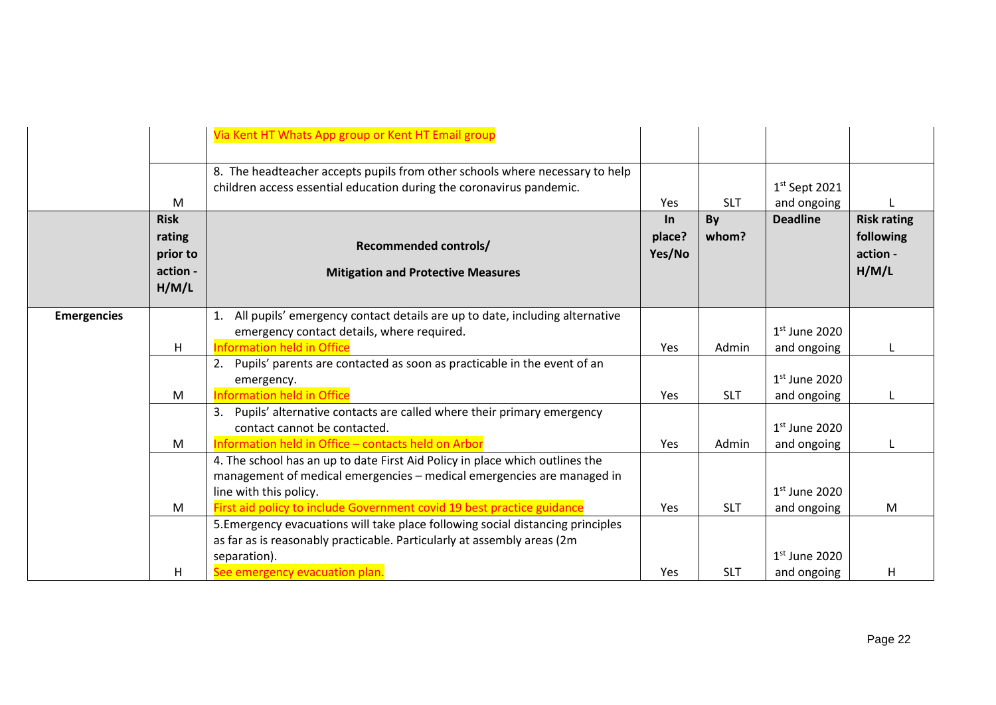|                    |                                                        | Via Kent HT Whats App group or Kent HT Email group                                                                                                                                                                                                         |                               |             |                                |                                                      |
|--------------------|--------------------------------------------------------|------------------------------------------------------------------------------------------------------------------------------------------------------------------------------------------------------------------------------------------------------------|-------------------------------|-------------|--------------------------------|------------------------------------------------------|
|                    | M                                                      | 8. The headteacher accepts pupils from other schools where necessary to help<br>children access essential education during the coronavirus pandemic.                                                                                                       | Yes                           | <b>SLT</b>  | $1st$ Sept 2021<br>and ongoing |                                                      |
|                    | <b>Risk</b><br>rating<br>prior to<br>action -<br>H/M/L | <b>Recommended controls/</b><br><b>Mitigation and Protective Measures</b>                                                                                                                                                                                  | <b>In</b><br>place?<br>Yes/No | By<br>whom? | <b>Deadline</b>                | <b>Risk rating</b><br>following<br>action -<br>H/M/L |
| <b>Emergencies</b> | H                                                      | 1. All pupils' emergency contact details are up to date, including alternative<br>emergency contact details, where required.<br><b>Information held in Office</b>                                                                                          | Yes                           | Admin       | $1st$ June 2020<br>and ongoing |                                                      |
|                    | M                                                      | 2. Pupils' parents are contacted as soon as practicable in the event of an<br>emergency.<br><b>Information held in Office</b>                                                                                                                              | Yes                           | <b>SLT</b>  | $1st$ June 2020<br>and ongoing |                                                      |
|                    | M                                                      | 3. Pupils' alternative contacts are called where their primary emergency<br>contact cannot be contacted.<br>Information held in Office - contacts held on Arbor                                                                                            | Yes                           | Admin       | $1st$ June 2020<br>and ongoing |                                                      |
|                    | M                                                      | 4. The school has an up to date First Aid Policy in place which outlines the<br>management of medical emergencies - medical emergencies are managed in<br>line with this policy.<br>First aid policy to include Government covid 19 best practice guidance | Yes                           | <b>SLT</b>  | $1st$ June 2020<br>and ongoing | M                                                    |
|                    | н                                                      | 5. Emergency evacuations will take place following social distancing principles<br>as far as is reasonably practicable. Particularly at assembly areas (2m)<br>separation).<br>See emergency evacuation plan.                                              | Yes                           | <b>SLT</b>  | $1st$ June 2020<br>and ongoing | H                                                    |
|                    |                                                        |                                                                                                                                                                                                                                                            |                               |             |                                |                                                      |